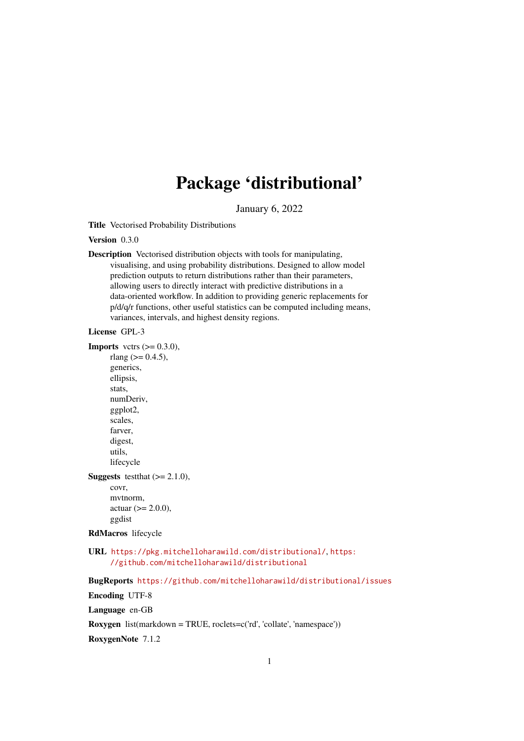# Package 'distributional'

January 6, 2022

<span id="page-0-0"></span>Title Vectorised Probability Distributions

Version 0.3.0

Description Vectorised distribution objects with tools for manipulating, visualising, and using probability distributions. Designed to allow model prediction outputs to return distributions rather than their parameters, allowing users to directly interact with predictive distributions in a data-oriented workflow. In addition to providing generic replacements for p/d/q/r functions, other useful statistics can be computed including means, variances, intervals, and highest density regions.

## License GPL-3

**Imports** vctrs  $(>= 0.3.0)$ , rlang ( $> = 0.4.5$ ), generics, ellipsis, stats, numDeriv, ggplot2, scales, farver, digest, utils, lifecycle **Suggests** testthat  $(>= 2.1.0)$ ,

covr, mvtnorm,  $actual (>= 2.0.0),$ ggdist

## RdMacros lifecycle

URL <https://pkg.mitchelloharawild.com/distributional/>, [https:](https://github.com/mitchelloharawild/distributional) [//github.com/mitchelloharawild/distributional](https://github.com/mitchelloharawild/distributional)

BugReports <https://github.com/mitchelloharawild/distributional/issues>

Encoding UTF-8

Language en-GB

Roxygen list(markdown = TRUE, roclets=c('rd', 'collate', 'namespace'))

RoxygenNote 7.1.2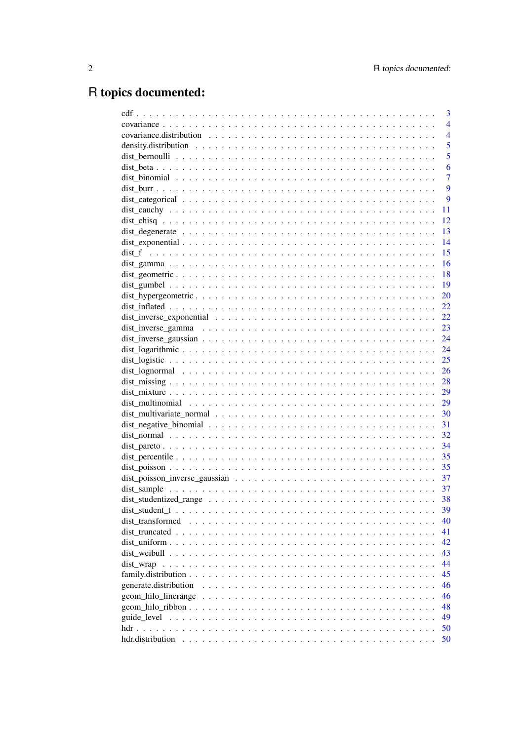# R topics documented:

|                       | 3              |
|-----------------------|----------------|
|                       | $\overline{4}$ |
|                       | $\overline{4}$ |
|                       | 5              |
|                       | 5              |
|                       | 6              |
|                       | $\overline{7}$ |
|                       | 9              |
|                       | 9              |
|                       | 11             |
|                       | 12             |
|                       | 13             |
|                       | 14             |
|                       | 15             |
|                       | 16             |
|                       | 18             |
|                       | 19             |
|                       | 20             |
|                       | 22             |
|                       | 22             |
|                       | 23             |
|                       | 24             |
|                       | 24             |
|                       | 25             |
|                       | 26             |
|                       | 28             |
|                       | 29             |
|                       | 29             |
|                       | 30             |
|                       | 31             |
|                       | 32             |
|                       | 34             |
|                       |                |
|                       | 35             |
|                       | 35             |
|                       | 37             |
|                       |                |
|                       | 38             |
|                       | 39             |
| dist transformed      | 40             |
|                       | 41             |
|                       | 42             |
|                       | 43             |
| dist wrap             | 44             |
|                       | 45             |
| generate.distribution | 46             |
| geom_hilo_linerange   | 46             |
|                       | 48             |
|                       | 49             |
|                       | 50             |
|                       | 50             |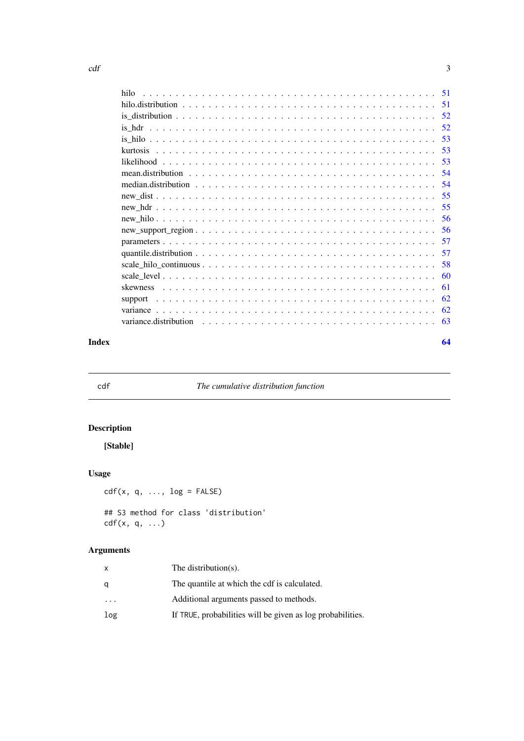<span id="page-2-0"></span>

| hilo  |    |
|-------|----|
|       |    |
|       |    |
|       |    |
|       |    |
|       |    |
|       |    |
|       |    |
|       |    |
|       |    |
|       |    |
|       |    |
|       |    |
|       |    |
|       |    |
|       |    |
|       |    |
|       |    |
|       |    |
|       |    |
|       |    |
| Index | 64 |

<span id="page-2-1"></span>

cdf *The cumulative distribution function*

## Description

[Stable]

## Usage

 $cdf(x, q, ..., log = FALSE)$ 

```
## S3 method for class 'distribution'
cdf(x, q, \ldots)
```
## Arguments

| x                       | The distribution $(s)$ .                                   |
|-------------------------|------------------------------------------------------------|
| a                       | The quantile at which the cdf is calculated.               |
| $\cdot$ $\cdot$ $\cdot$ | Additional arguments passed to methods.                    |
| log                     | If TRUE, probabilities will be given as log probabilities. |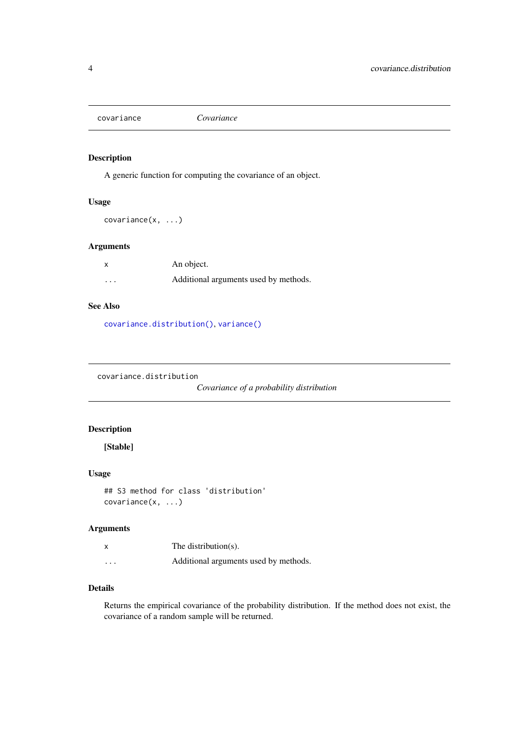<span id="page-3-2"></span><span id="page-3-0"></span>covariance *Covariance*

## Description

A generic function for computing the covariance of an object.

## Usage

covariance(x, ...)

#### Arguments

|          | An object.                            |
|----------|---------------------------------------|
| $\cdots$ | Additional arguments used by methods. |

## See Also

[covariance.distribution\(\)](#page-3-1), [variance\(\)](#page-61-1)

<span id="page-3-1"></span>covariance.distribution

*Covariance of a probability distribution*

## Description

## [Stable]

## Usage

```
## S3 method for class 'distribution'
covariance(x, ...)
```
#### Arguments

|          | The distribution(s).                  |
|----------|---------------------------------------|
| $\cdots$ | Additional arguments used by methods. |

## Details

Returns the empirical covariance of the probability distribution. If the method does not exist, the covariance of a random sample will be returned.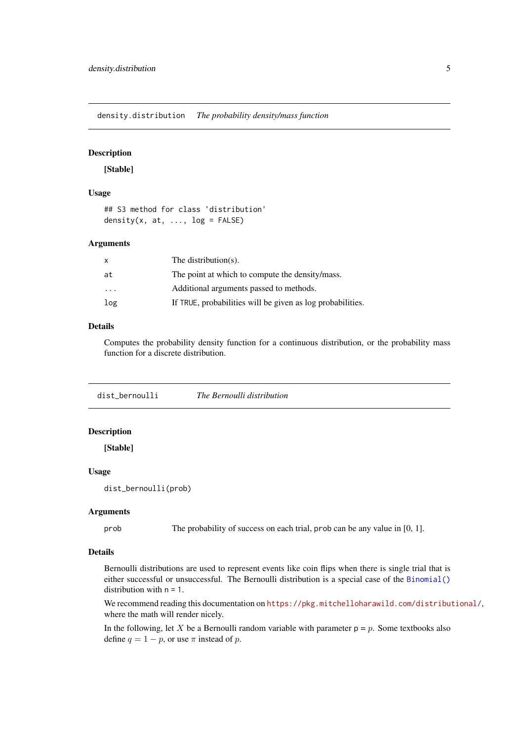<span id="page-4-0"></span>density.distribution *The probability density/mass function*

## Description

[Stable]

## Usage

```
## S3 method for class 'distribution'
density(x, at, \ldots, log = FALSE)
```
#### Arguments

| x                       | The distribution(s).                                       |
|-------------------------|------------------------------------------------------------|
| at                      | The point at which to compute the density/mass.            |
| $\cdot$ $\cdot$ $\cdot$ | Additional arguments passed to methods.                    |
| log                     | If TRUE, probabilities will be given as log probabilities. |

## Details

Computes the probability density function for a continuous distribution, or the probability mass function for a discrete distribution.

<span id="page-4-1"></span>dist\_bernoulli *The Bernoulli distribution*

## Description

[Stable]

#### Usage

dist\_bernoulli(prob)

#### Arguments

prob The probability of success on each trial, prob can be any value in [0, 1].

#### Details

Bernoulli distributions are used to represent events like coin flips when there is single trial that is either successful or unsuccessful. The Bernoulli distribution is a special case of the [Binomial\(\)](#page-0-0) distribution with  $n = 1$ .

We recommend reading this documentation on <https://pkg.mitchelloharawild.com/distributional/>, where the math will render nicely.

In the following, let X be a Bernoulli random variable with parameter  $p = p$ . Some textbooks also define  $q = 1 - p$ , or use  $\pi$  instead of p.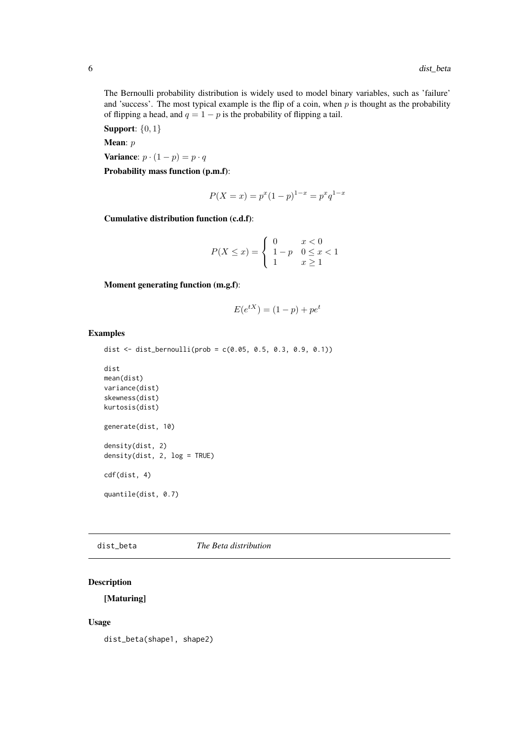<span id="page-5-0"></span>The Bernoulli probability distribution is widely used to model binary variables, such as 'failure' and 'success'. The most typical example is the flip of a coin, when  $p$  is thought as the probability of flipping a head, and  $q = 1 - p$  is the probability of flipping a tail.

Support: {0, 1}

Mean:  $p$ 

Variance:  $p \cdot (1 - p) = p \cdot q$ 

Probability mass function (p.m.f):

$$
P(X = x) = p^x (1 - p)^{1 - x} = p^x q^{1 - x}
$$

Cumulative distribution function (c.d.f):

$$
P(X \le x) = \begin{cases} 0 & x < 0 \\ 1 - p & 0 \le x < 1 \\ 1 & x \ge 1 \end{cases}
$$

Moment generating function (m.g.f):

$$
E(e^{tX}) = (1 - p) + pe^t
$$

#### Examples

```
dist <- dist_bernoulli(prob = c(0.05, 0.5, 0.3, 0.9, 0.1))
```

```
dist
mean(dist)
variance(dist)
skewness(dist)
kurtosis(dist)
generate(dist, 10)
density(dist, 2)
density(dist, 2, log = TRUE)
cdf(dist, 4)
quantile(dist, 0.7)
```
#### dist\_beta *The Beta distribution*

## Description

[Maturing]

#### Usage

dist\_beta(shape1, shape2)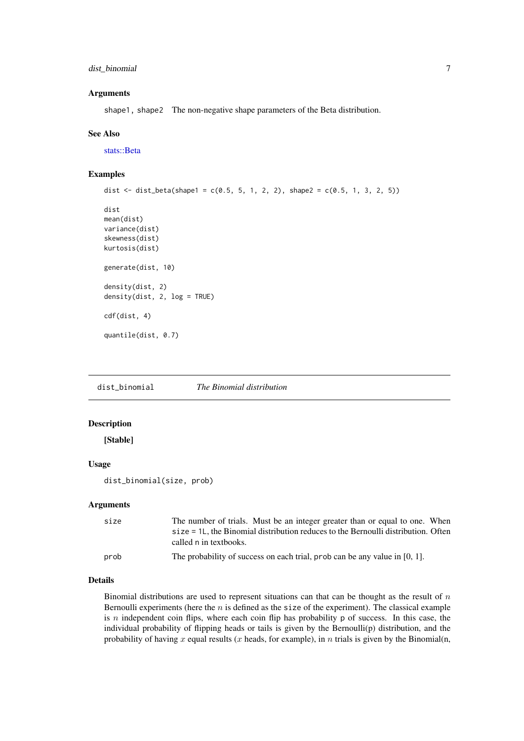#### <span id="page-6-0"></span>dist\_binomial 7

### Arguments

shape1, shape2 The non-negative shape parameters of the Beta distribution.

#### See Also

[stats::Beta](#page-0-0)

## Examples

```
dist \le dist_beta(shape1 = c(0.5, 5, 1, 2, 2), shape2 = c(0.5, 1, 3, 2, 5))
dist
mean(dist)
variance(dist)
skewness(dist)
kurtosis(dist)
generate(dist, 10)
density(dist, 2)
density(dist, 2, log = TRUE)
cdf(dist, 4)
quantile(dist, 0.7)
```
dist\_binomial *The Binomial distribution*

## Description

[Stable]

## Usage

dist\_binomial(size, prob)

## Arguments

| size | The number of trials. Must be an integer greater than or equal to one. When          |  |
|------|--------------------------------------------------------------------------------------|--|
|      | $size = 1L$ , the Binomial distribution reduces to the Bernoulli distribution. Often |  |
|      | called n in textbooks.                                                               |  |
| prob | The probability of success on each trial, prob can be any value in $[0, 1]$ .        |  |

#### Details

Binomial distributions are used to represent situations can that can be thought as the result of  $n$ Bernoulli experiments (here the  $n$  is defined as the size of the experiment). The classical example is  $n$  independent coin flips, where each coin flip has probability  $p$  of success. In this case, the individual probability of flipping heads or tails is given by the Bernoulli(p) distribution, and the probability of having x equal results (x heads, for example), in  $n$  trials is given by the Binomial(n,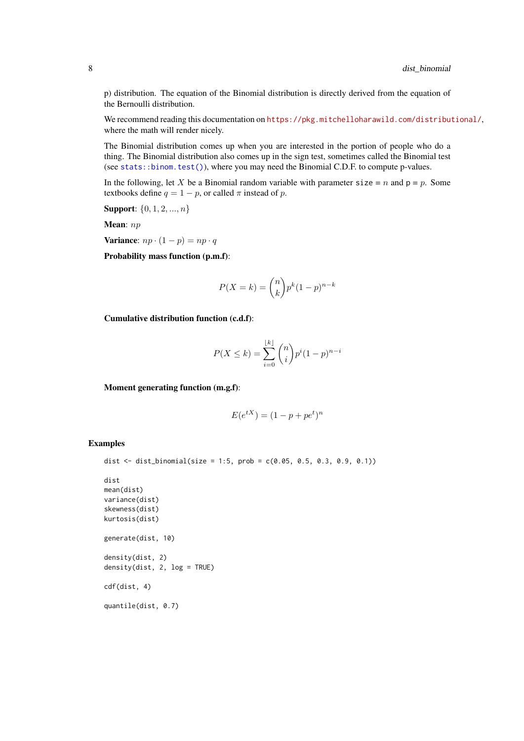<span id="page-7-0"></span>p) distribution. The equation of the Binomial distribution is directly derived from the equation of the Bernoulli distribution.

We recommend reading this documentation on <https://pkg.mitchelloharawild.com/distributional/>, where the math will render nicely.

The Binomial distribution comes up when you are interested in the portion of people who do a thing. The Binomial distribution also comes up in the sign test, sometimes called the Binomial test (see [stats::binom.test\(\)](#page-0-0)), where you may need the Binomial C.D.F. to compute p-values.

In the following, let X be a Binomial random variable with parameter size = n and  $p = p$ . Some textbooks define  $q = 1 - p$ , or called  $\pi$  instead of p.

**Support:**  $\{0, 1, 2, ..., n\}$ 

Mean:  $np$ 

Variance:  $np \cdot (1-p) = np \cdot q$ 

Probability mass function (p.m.f):

$$
P(X=k) = \binom{n}{k} p^k (1-p)^{n-k}
$$

Cumulative distribution function (c.d.f):

$$
P(X \le k) = \sum_{i=0}^{\lfloor k \rfloor} \binom{n}{i} p^i (1-p)^{n-i}
$$

Moment generating function (m.g.f):

$$
E(e^{tX}) = (1 - p + pe^t)^n
$$

#### Examples

```
dist <- dist_binomial(size = 1:5, prob = c(0.05, 0.5, 0.3, 0.9, 0.1))
dist
mean(dist)
variance(dist)
skewness(dist)
kurtosis(dist)
generate(dist, 10)
density(dist, 2)
density(dist, 2, log = TRUE)
cdf(dist, 4)
quantile(dist, 0.7)
```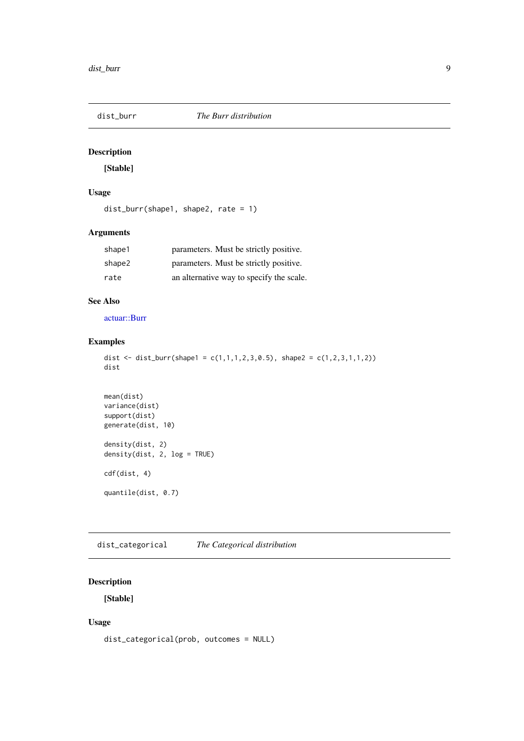<span id="page-8-0"></span>

[Stable]

## Usage

dist\_burr(shape1, shape2, rate = 1)

## Arguments

| shape1 | parameters. Must be strictly positive.   |
|--------|------------------------------------------|
| shape2 | parameters. Must be strictly positive.   |
| rate   | an alternative way to specify the scale. |

## See Also

[actuar::Burr](#page-0-0)

## Examples

```
dist <- dist_burr(shape1 = c(1,1,1,2,3,0.5), shape2 = c(1,2,3,1,1,2))
dist
```

```
mean(dist)
variance(dist)
support(dist)
generate(dist, 10)
density(dist, 2)
density(dist, 2, log = TRUE)
cdf(dist, 4)
quantile(dist, 0.7)
```
<span id="page-8-1"></span>dist\_categorical *The Categorical distribution*

## Description

[Stable]

## Usage

```
dist_categorical(prob, outcomes = NULL)
```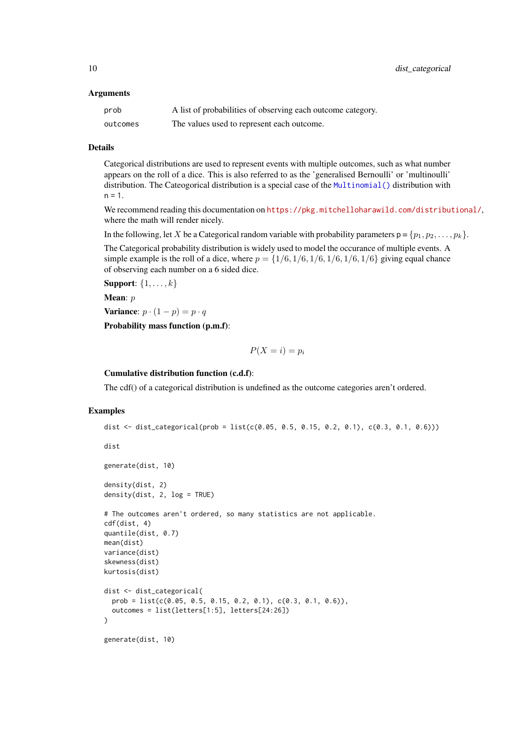#### <span id="page-9-0"></span>Arguments

| prob     | A list of probabilities of observing each outcome category. |
|----------|-------------------------------------------------------------|
| outcomes | The values used to represent each outcome.                  |

#### Details

Categorical distributions are used to represent events with multiple outcomes, such as what number appears on the roll of a dice. This is also referred to as the 'generalised Bernoulli' or 'multinoulli' distribution. The Cateogorical distribution is a special case of the [Multinomial\(\)](#page-0-0) distribution with  $n = 1.$ 

We recommend reading this documentation on <https://pkg.mitchelloharawild.com/distributional/>, where the math will render nicely.

In the following, let X be a Categorical random variable with probability parameters  $p = \{p_1, p_2, \ldots, p_k\}$ .

The Categorical probability distribution is widely used to model the occurance of multiple events. A simple example is the roll of a dice, where  $p = \{1/6, 1/6, 1/6, 1/6, 1/6, 1/6\}$  giving equal chance of observing each number on a 6 sided dice.

Support:  $\{1, \ldots, k\}$ 

Mean: p

Variance:  $p \cdot (1-p) = p \cdot q$ 

Probability mass function (p.m.f):

 $P(X = i) = p_i$ 

#### Cumulative distribution function (c.d.f):

The cdf() of a categorical distribution is undefined as the outcome categories aren't ordered.

#### Examples

```
dist <- dist_categorical(prob = list(c(0.05, 0.5, 0.15, 0.2, 0.1), c(0.3, 0.1, 0.6)))
dist
generate(dist, 10)
density(dist, 2)
density(dist, 2, log = TRUE)
# The outcomes aren't ordered, so many statistics are not applicable.
cdf(dist, 4)
quantile(dist, 0.7)
mean(dist)
variance(dist)
skewness(dist)
kurtosis(dist)
dist <- dist_categorical(
  prob = list(c(0.05, 0.5, 0.15, 0.2, 0.1), c(0.3, 0.1, 0.6)),outcomes = list(letters[1:5], letters[24:26])
\lambdagenerate(dist, 10)
```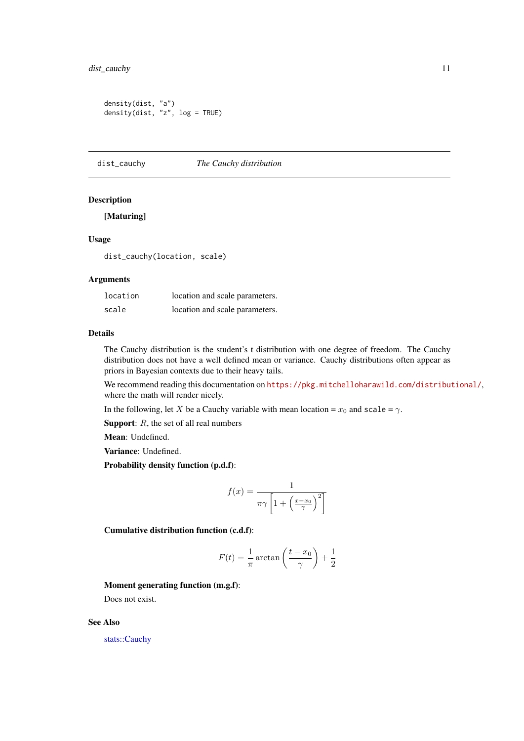#### <span id="page-10-0"></span>dist\_cauchy 11

```
density(dist, "a")
density(dist, "z", log = TRUE)
```
dist\_cauchy *The Cauchy distribution*

#### Description

## [Maturing]

## Usage

dist\_cauchy(location, scale)

## Arguments

| location | location and scale parameters. |
|----------|--------------------------------|
| scale    | location and scale parameters. |

#### Details

The Cauchy distribution is the student's t distribution with one degree of freedom. The Cauchy distribution does not have a well defined mean or variance. Cauchy distributions often appear as priors in Bayesian contexts due to their heavy tails.

We recommend reading this documentation on <https://pkg.mitchelloharawild.com/distributional/>, where the math will render nicely.

In the following, let X be a Cauchy variable with mean location =  $x_0$  and scale =  $\gamma$ .

**Support:**  $R$ , the set of all real numbers

Mean: Undefined.

Variance: Undefined.

Probability density function (p.d.f):

$$
f(x) = \frac{1}{\pi \gamma \left[1 + \left(\frac{x - x_0}{\gamma}\right)^2\right]}
$$

Cumulative distribution function (c.d.f):

$$
F(t) = \frac{1}{\pi} \arctan\left(\frac{t - x_0}{\gamma}\right) + \frac{1}{2}
$$

## Moment generating function (m.g.f):

Does not exist.

## See Also

[stats::Cauchy](#page-0-0)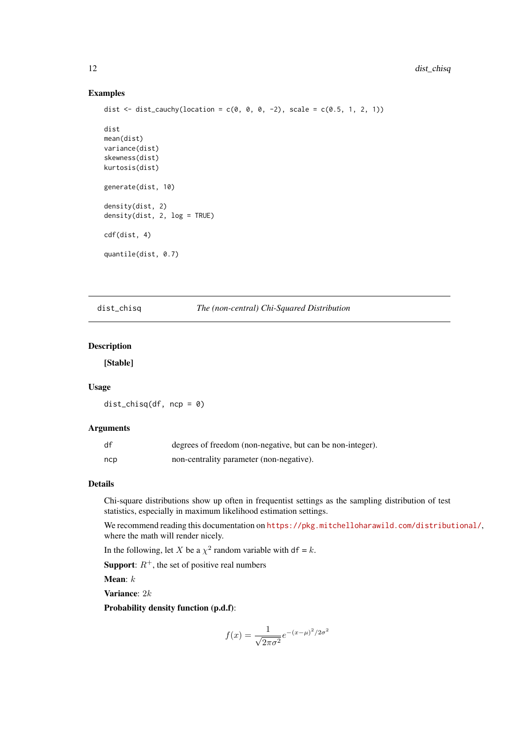## Examples

```
dist <- dist_cauchy(location = c(0, 0, 0, -2), scale = c(0.5, 1, 2, 1))
dist
mean(dist)
variance(dist)
skewness(dist)
kurtosis(dist)
generate(dist, 10)
density(dist, 2)
density(dist, 2, log = TRUE)
cdf(dist, 4)
quantile(dist, 0.7)
```
dist\_chisq *The (non-central) Chi-Squared Distribution*

## Description

[Stable]

#### Usage

 $dist_{chisq}(df, ncp = 0)$ 

## Arguments

| df  | degrees of freedom (non-negative, but can be non-integer). |
|-----|------------------------------------------------------------|
| ncp | non-centrality parameter (non-negative).                   |

## Details

Chi-square distributions show up often in frequentist settings as the sampling distribution of test statistics, especially in maximum likelihood estimation settings.

We recommend reading this documentation on <https://pkg.mitchelloharawild.com/distributional/>, where the math will render nicely.

In the following, let X be a  $\chi^2$  random variable with df = k.

**Support:**  $R^+$ , the set of positive real numbers

Mean:  $k$ 

Variance: 2k

Probability density function (p.d.f):

$$
f(x) = \frac{1}{\sqrt{2\pi\sigma^2}} e^{-(x-\mu)^2/2\sigma^2}
$$

<span id="page-11-0"></span>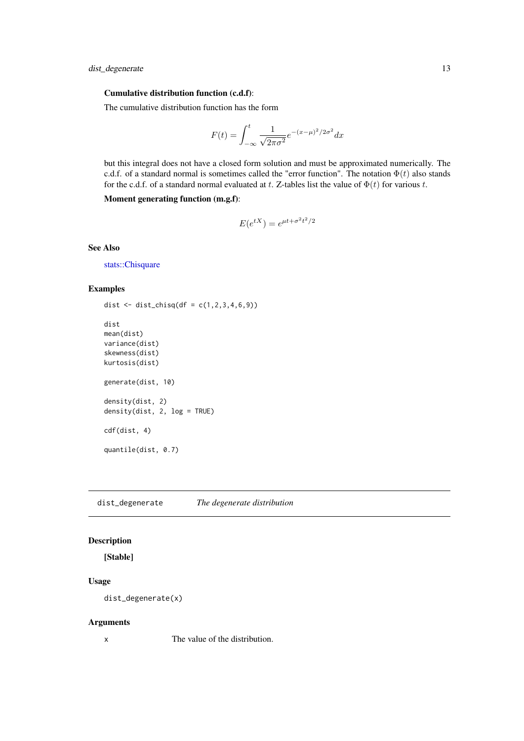#### <span id="page-12-0"></span>Cumulative distribution function (c.d.f):

The cumulative distribution function has the form

$$
F(t) = \int_{-\infty}^{t} \frac{1}{\sqrt{2\pi\sigma^2}} e^{-(x-\mu)^2/2\sigma^2} dx
$$

but this integral does not have a closed form solution and must be approximated numerically. The c.d.f. of a standard normal is sometimes called the "error function". The notation  $\Phi(t)$  also stands for the c.d.f. of a standard normal evaluated at t. Z-tables list the value of  $\Phi(t)$  for various t.

Moment generating function (m.g.f):

$$
E(e^{tX}) = e^{\mu t + \sigma^2 t^2/2}
$$

See Also

[stats::Chisquare](#page-0-0)

#### Examples

```
dist \le dist_chisq(df = c(1,2,3,4,6,9))
dist
mean(dist)
variance(dist)
skewness(dist)
kurtosis(dist)
generate(dist, 10)
density(dist, 2)
density(dist, 2, log = TRUE)
cdf(dist, 4)
quantile(dist, 0.7)
```
dist\_degenerate *The degenerate distribution*

## Description

[Stable]

## Usage

dist\_degenerate(x)

#### Arguments

x The value of the distribution.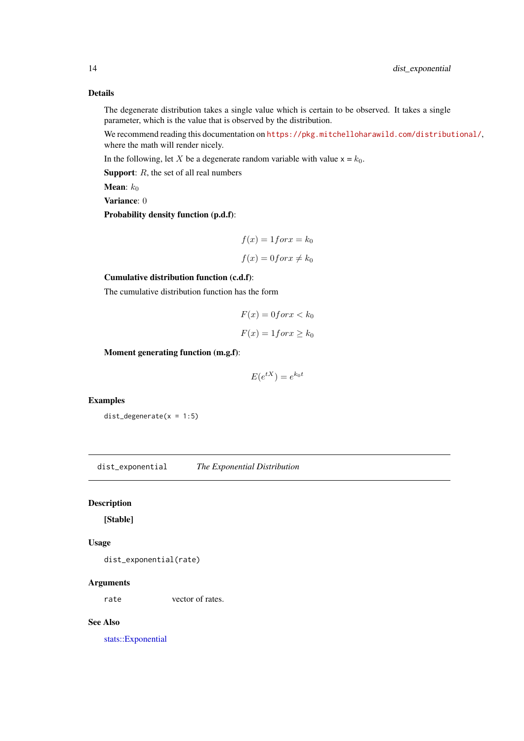## Details

The degenerate distribution takes a single value which is certain to be observed. It takes a single parameter, which is the value that is observed by the distribution.

We recommend reading this documentation on <https://pkg.mitchelloharawild.com/distributional/>, where the math will render nicely.

In the following, let X be a degenerate random variable with value  $x = k_0$ .

**Support:**  $R$ , the set of all real numbers

**Mean**:  $k_0$ 

Variance: 0

Probability density function (p.d.f):

$$
f(x) = 1 for x = k_0
$$

$$
f(x) = 0 for x \neq k_0
$$

Cumulative distribution function (c.d.f):

The cumulative distribution function has the form

$$
F(x) = 0 \text{ for } x < k_0
$$
\n
$$
F(x) = 1 \text{ for } x \ge k_0
$$

Moment generating function (m.g.f):

$$
E(e^{tX}) = e^{k_0 t}
$$

## Examples

 $dist\_degenerate(x = 1:5)$ 

dist\_exponential *The Exponential Distribution*

#### Description

[Stable]

## Usage

dist\_exponential(rate)

#### Arguments

rate vector of rates.

#### See Also

[stats::Exponential](#page-0-0)

<span id="page-13-0"></span>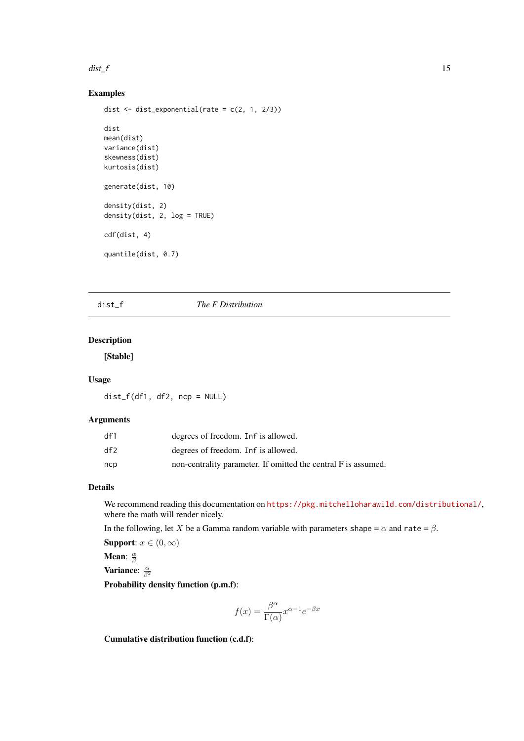#### <span id="page-14-0"></span>dist\_f  $\qquad \qquad$  15

## Examples

```
dist \le dist_exponential(rate = c(2, 1, 2/3))
dist
mean(dist)
variance(dist)
skewness(dist)
kurtosis(dist)
generate(dist, 10)
density(dist, 2)
density(dist, 2, log = TRUE)
cdf(dist, 4)
quantile(dist, 0.7)
```
## dist\_f *The F Distribution*

## Description

## [Stable]

## Usage

dist\_f(df1, df2, ncp = NULL)

## Arguments

| df1 | degrees of freedom. Inf is allowed.                            |
|-----|----------------------------------------------------------------|
| df2 | degrees of freedom. Inf is allowed.                            |
| ncp | non-centrality parameter. If omitted the central F is assumed. |

## Details

We recommend reading this documentation on <https://pkg.mitchelloharawild.com/distributional/>, where the math will render nicely.

In the following, let X be a Gamma random variable with parameters shape =  $\alpha$  and rate =  $\beta$ .

Support:  $x \in (0, \infty)$ 

Mean:  $\frac{\alpha}{\beta}$ Variance:  $\frac{\alpha}{\beta^2}$ 

Probability density function (p.m.f):

$$
f(x) = \frac{\beta^{\alpha}}{\Gamma(\alpha)} x^{\alpha - 1} e^{-\beta x}
$$

Cumulative distribution function (c.d.f):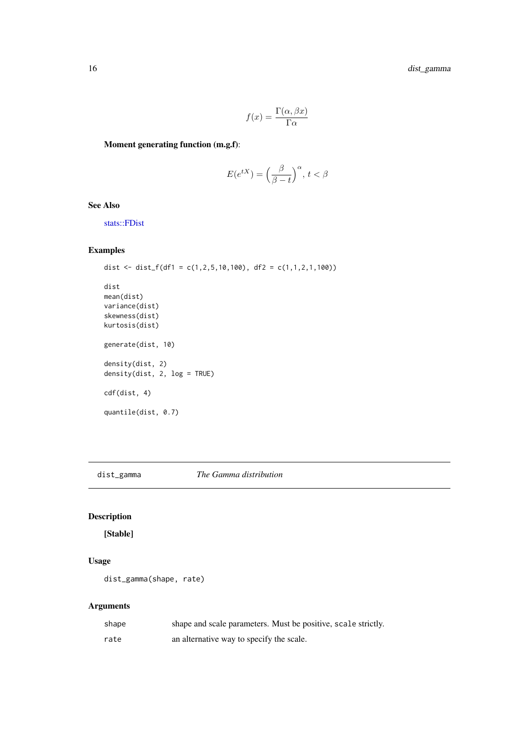<span id="page-15-0"></span>16 dist\_gamma

$$
f(x) = \frac{\Gamma(\alpha, \beta x)}{\Gamma \alpha}
$$

Moment generating function (m.g.f):

$$
E(e^{tX}) = \left(\frac{\beta}{\beta - t}\right)^{\alpha}, \, t < \beta
$$

See Also

[stats::FDist](#page-0-0)

## Examples

```
dist <- dist_f(df1 = c(1,2,5,10,100), df2 = c(1,1,2,1,100))
dist
mean(dist)
variance(dist)
skewness(dist)
kurtosis(dist)
generate(dist, 10)
density(dist, 2)
density(dist, 2, log = TRUE)
cdf(dist, 4)
quantile(dist, 0.7)
```
dist\_gamma *The Gamma distribution*

## Description

[Stable]

## Usage

dist\_gamma(shape, rate)

## Arguments

| shape | shape and scale parameters. Must be positive, scale strictly. |
|-------|---------------------------------------------------------------|
| rate  | an alternative way to specify the scale.                      |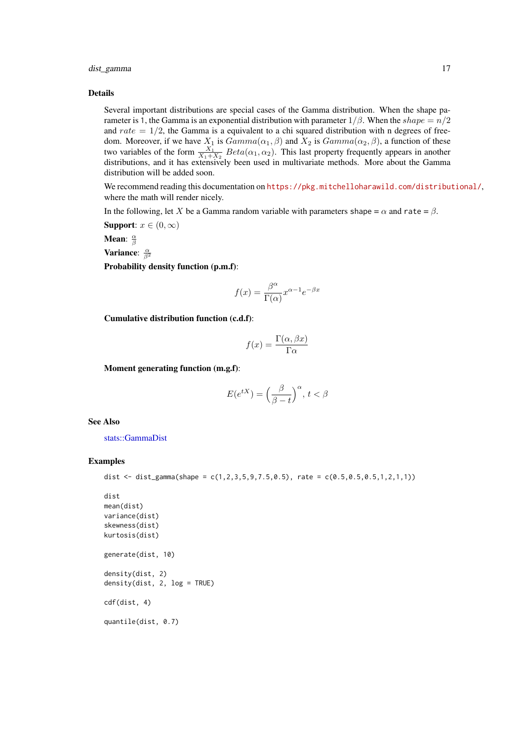<span id="page-16-0"></span>dist\_gamma 17

#### Details

Several important distributions are special cases of the Gamma distribution. When the shape parameter is 1, the Gamma is an exponential distribution with parameter  $1/\beta$ . When the shape  $= n/2$ and  $rate = 1/2$ , the Gamma is a equivalent to a chi squared distribution with n degrees of freedom. Moreover, if we have  $X_1$  is  $Gamma(\alpha_1, \beta)$  and  $X_2$  is  $Gamma(\alpha_2, \beta)$ , a function of these two variables of the form  $\frac{X_1}{X_1+X_2}$   $Beta(\alpha_1, \alpha_2)$ . This last property frequently appears in another distributions, and it has extensively been used in multivariate methods. More about the Gamma distribution will be added soon.

We recommend reading this documentation on <https://pkg.mitchelloharawild.com/distributional/>, where the math will render nicely.

In the following, let X be a Gamma random variable with parameters shape =  $\alpha$  and rate =  $\beta$ .

Support:  $x \in (0, \infty)$ 

Mean:  $\frac{\alpha}{\beta}$ 

Variance:  $\frac{\alpha}{\beta^2}$ 

Probability density function (p.m.f):

$$
f(x) = \frac{\beta^{\alpha}}{\Gamma(\alpha)} x^{\alpha - 1} e^{-\beta x}
$$

Cumulative distribution function (c.d.f):

$$
f(x) = \frac{\Gamma(\alpha, \beta x)}{\Gamma \alpha}
$$

Moment generating function (m.g.f):

$$
E(e^{tX}) = \left(\frac{\beta}{\beta - t}\right)^{\alpha}, \, t < \beta
$$

See Also

[stats::GammaDist](#page-0-0)

#### Examples

```
dist <- dist_gamma(shape = c(1, 2, 3, 5, 9, 7.5, 0.5), rate = c(0.5, 0.5, 0.5, 1, 2, 1, 1))
```

```
dist
mean(dist)
variance(dist)
skewness(dist)
kurtosis(dist)
generate(dist, 10)
density(dist, 2)
density(dist, 2, log = TRUE)
cdf(dist, 4)
quantile(dist, 0.7)
```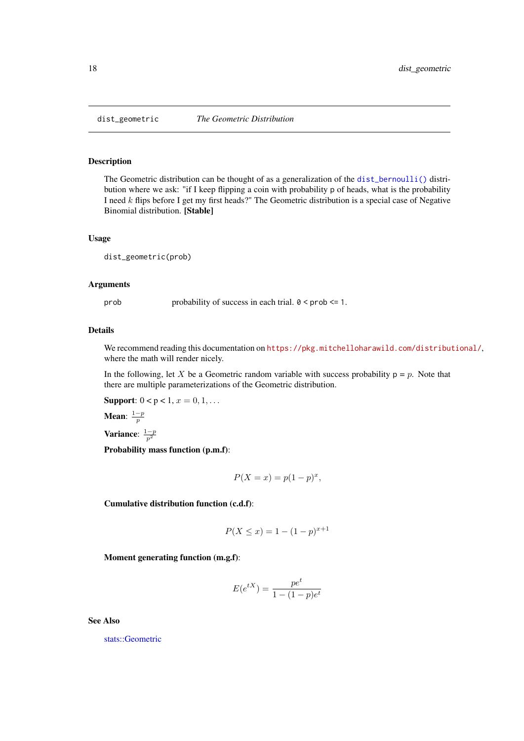<span id="page-17-0"></span>

The Geometric distribution can be thought of as a generalization of the [dist\\_bernoulli\(\)](#page-4-1) distribution where we ask: "if I keep flipping a coin with probability p of heads, what is the probability I need k flips before I get my first heads?" The Geometric distribution is a special case of Negative Binomial distribution. [Stable]

#### Usage

dist\_geometric(prob)

#### Arguments

prob probability of success in each trial.  $0 < \text{prob} \leq 1$ .

#### Details

We recommend reading this documentation on <https://pkg.mitchelloharawild.com/distributional/>, where the math will render nicely.

In the following, let X be a Geometric random variable with success probability  $p = p$ . Note that there are multiple parameterizations of the Geometric distribution.

Support:  $0 < p < 1, x = 0, 1, ...$ 

Mean:  $\frac{1-p}{p}$ 

Variance:  $\frac{1-p}{p^2}$ 

Probability mass function (p.m.f):

$$
P(X = x) = p(1 - p)^x,
$$

Cumulative distribution function (c.d.f):

$$
P(X \le x) = 1 - (1 - p)^{x+1}
$$

Moment generating function (m.g.f):

$$
E(e^{tX}) = \frac{pe^t}{1 - (1 - p)e^t}
$$

See Also

[stats::Geometric](#page-0-0)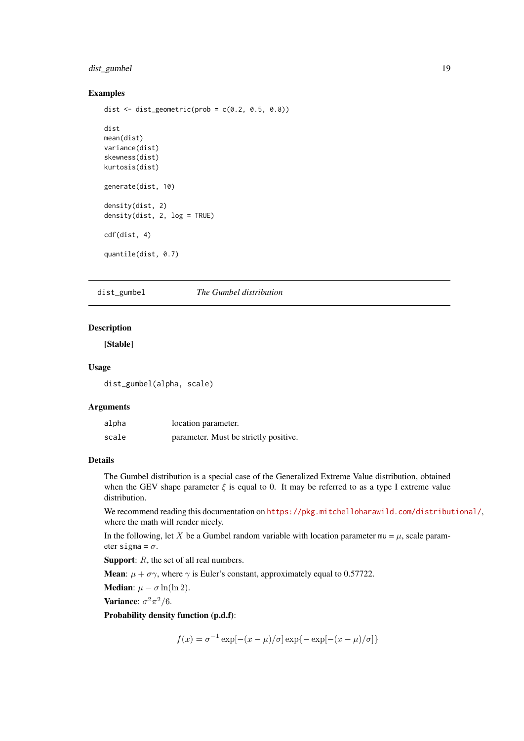#### <span id="page-18-0"></span>dist\_gumbel 19

#### Examples

```
dist \le dist_geometric(prob = c(0.2, 0.5, 0.8))
dist
mean(dist)
variance(dist)
skewness(dist)
kurtosis(dist)
generate(dist, 10)
density(dist, 2)
density(dist, 2, log = TRUE)
cdf(dist, 4)
quantile(dist, 0.7)
```
dist\_gumbel *The Gumbel distribution*

## Description

[Stable]

#### Usage

dist\_gumbel(alpha, scale)

#### Arguments

| alpha | location parameter.                   |
|-------|---------------------------------------|
| scale | parameter. Must be strictly positive. |

## Details

The Gumbel distribution is a special case of the Generalized Extreme Value distribution, obtained when the GEV shape parameter  $\xi$  is equal to 0. It may be referred to as a type I extreme value distribution.

We recommend reading this documentation on <https://pkg.mitchelloharawild.com/distributional/>, where the math will render nicely.

In the following, let X be a Gumbel random variable with location parameter  $mu = \mu$ , scale parameter sigma =  $\sigma$ .

Support: R, the set of all real numbers.

**Mean:**  $\mu + \sigma \gamma$ , where  $\gamma$  is Euler's constant, approximately equal to 0.57722.

**Median:**  $\mu - \sigma \ln(\ln 2)$ .

Variance:  $\sigma^2 \pi^2/6$ .

Probability density function (p.d.f):

 $f(x) = \sigma^{-1} \exp[-(x - \mu)/\sigma] \exp\{-\exp[-(x - \mu)/\sigma]\}$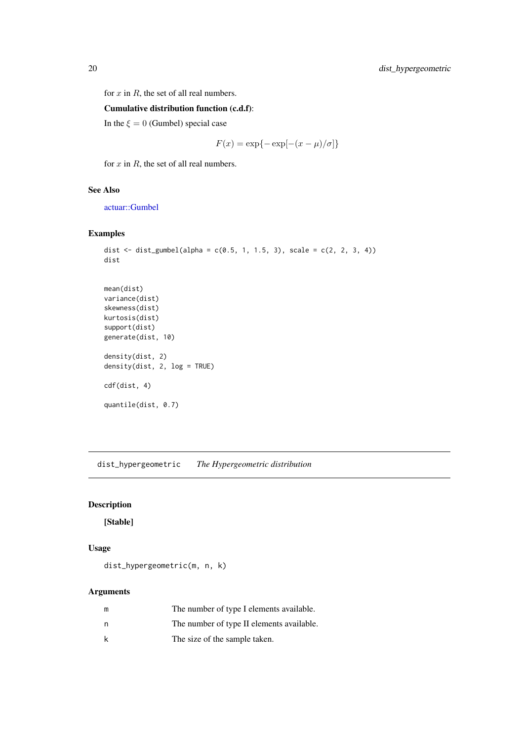<span id="page-19-0"></span>for  $x$  in  $R$ , the set of all real numbers.

Cumulative distribution function (c.d.f):

In the  $\xi = 0$  (Gumbel) special case

$$
F(x) = \exp\{-\exp[-(x-\mu)/\sigma]\}
$$

for  $x$  in  $R$ , the set of all real numbers.

## See Also

[actuar::Gumbel](#page-0-0)

## Examples

```
dist <- dist_gumbel(alpha = c(0.5, 1, 1.5, 3), scale = c(2, 2, 3, 4))
dist
mean(dist)
variance(dist)
skewness(dist)
kurtosis(dist)
support(dist)
generate(dist, 10)
density(dist, 2)
density(dist, 2, log = TRUE)
cdf(dist, 4)
quantile(dist, 0.7)
```
dist\_hypergeometric *The Hypergeometric distribution*

## Description

[Stable]

#### Usage

dist\_hypergeometric(m, n, k)

## Arguments

| m | The number of type I elements available.  |
|---|-------------------------------------------|
| n | The number of type II elements available. |
| k | The size of the sample taken.             |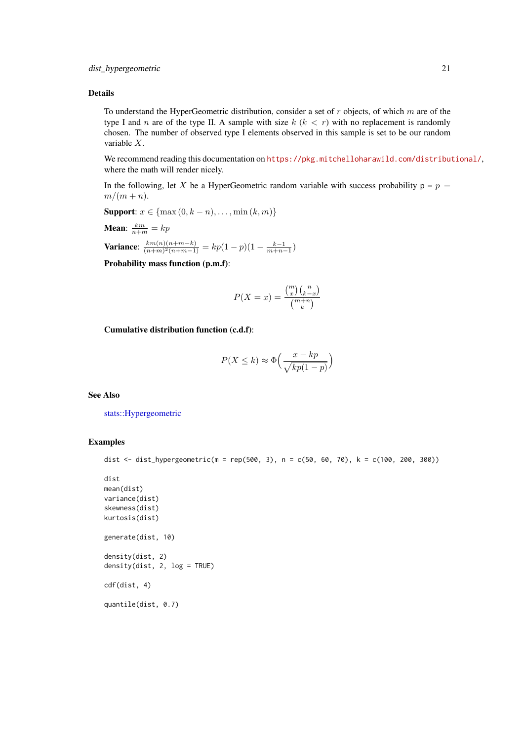#### <span id="page-20-0"></span>Details

To understand the HyperGeometric distribution, consider a set of  $r$  objects, of which  $m$  are of the type I and n are of the type II. A sample with size  $k (k < r)$  with no replacement is randomly chosen. The number of observed type I elements observed in this sample is set to be our random variable X.

We recommend reading this documentation on <https://pkg.mitchelloharawild.com/distributional/>, where the math will render nicely.

In the following, let X be a HyperGeometric random variable with success probability  $p = p$  $m/(m+n)$ .

**Support:**  $x \in \{ \max(0, k - n), \dots, \min(k, m) \}$ **Mean**:  $\frac{km}{n+m} = kp$ 

Variance:  $\frac{km(n)(n+m-k)}{(n+m)^2(n+m-1)}$  $\frac{k m(n)(n+m-k)}{(n+m)^2(n+m-1)} = k p(1-p)(1-\frac{k-1}{m+n-1})$ 

Probability mass function (p.m.f):

$$
P(X = x) = \frac{\binom{m}{x}\binom{n}{k-x}}{\binom{m+n}{k}}
$$

Cumulative distribution function (c.d.f):

$$
P(X \le k) \approx \Phi\left(\frac{x - kp}{\sqrt{kp(1 - p)}}\right)
$$

#### See Also

[stats::Hypergeometric](#page-0-0)

#### Examples

```
dist <- dist_hypergeometric(m = rep(500, 3), n = c(50, 60, 70), k = c(100, 200, 300))
```

```
dist
mean(dist)
variance(dist)
skewness(dist)
kurtosis(dist)
generate(dist, 10)
density(dist, 2)
density(dist, 2, log = TRUE)
cdf(dist, 4)
quantile(dist, 0.7)
```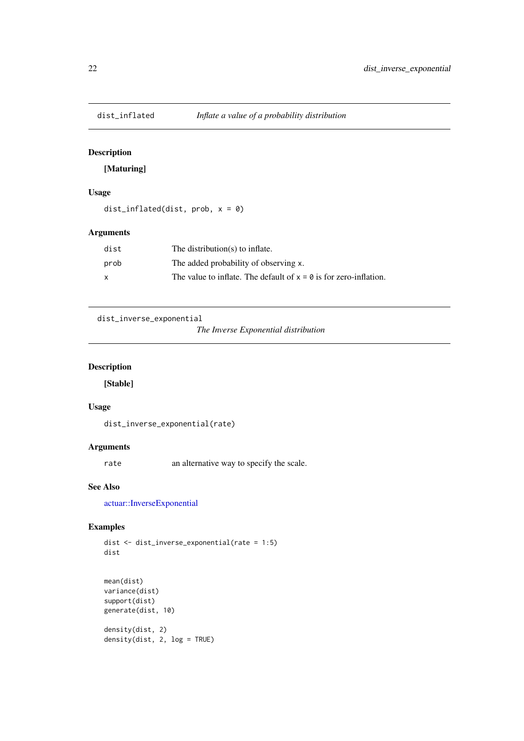<span id="page-21-0"></span>

## [Maturing]

## Usage

dist\_inflated(dist, prob,  $x = 0$ )

## Arguments

| dist         | The distribution(s) to inflate.                                     |
|--------------|---------------------------------------------------------------------|
| prob         | The added probability of observing x.                               |
| $\mathsf{x}$ | The value to inflate. The default of $x = 0$ is for zero-inflation. |

```
dist_inverse_exponential
```

```
The Inverse Exponential distribution
```
## Description

[Stable]

#### Usage

```
dist_inverse_exponential(rate)
```
## Arguments

rate an alternative way to specify the scale.

## See Also

[actuar::InverseExponential](#page-0-0)

## Examples

dist <- dist\_inverse\_exponential(rate = 1:5) dist

```
mean(dist)
variance(dist)
support(dist)
generate(dist, 10)
density(dist, 2)
density(dist, 2, log = TRUE)
```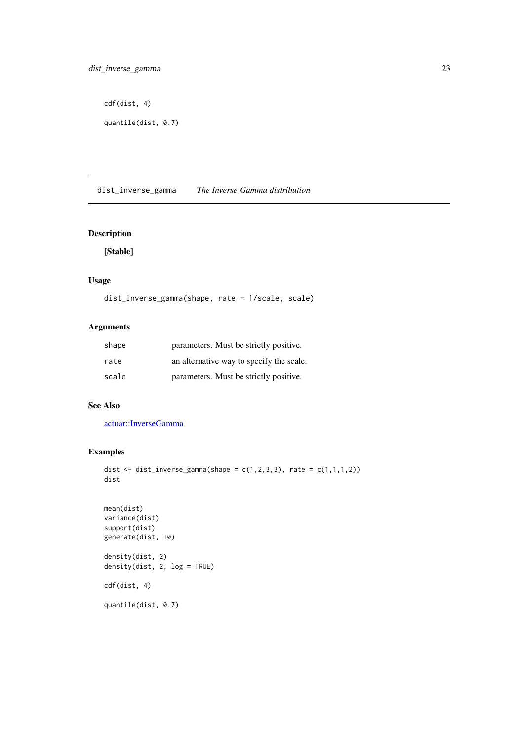```
cdf(dist, 4)
```

```
quantile(dist, 0.7)
```
dist\_inverse\_gamma *The Inverse Gamma distribution*

## Description

[Stable]

## Usage

```
dist_inverse_gamma(shape, rate = 1/scale, scale)
```
## Arguments

| shape | parameters. Must be strictly positive.   |
|-------|------------------------------------------|
| rate  | an alternative way to specify the scale. |
| scale | parameters. Must be strictly positive.   |

## See Also

[actuar::InverseGamma](#page-0-0)

## Examples

```
dist \le dist_inverse_gamma(shape = c(1,2,3,3), rate = c(1,1,1,2))
dist
```

```
mean(dist)
variance(dist)
support(dist)
generate(dist, 10)
density(dist, 2)
density(dist, 2, log = TRUE)
cdf(dist, 4)
quantile(dist, 0.7)
```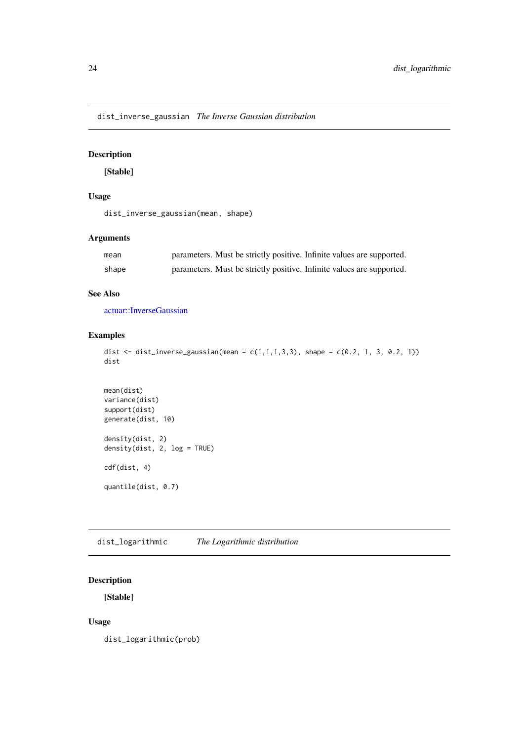<span id="page-23-0"></span>dist\_inverse\_gaussian *The Inverse Gaussian distribution*

## Description

## [Stable]

## Usage

dist\_inverse\_gaussian(mean, shape)

## Arguments

| mean  | parameters. Must be strictly positive. Infinite values are supported. |
|-------|-----------------------------------------------------------------------|
| shape | parameters. Must be strictly positive. Infinite values are supported. |

## See Also

[actuar::InverseGaussian](#page-0-0)

## Examples

```
dist <- dist_inverse_gaussian(mean = c(1,1,1,3,3), shape = c(0.2, 1, 3, 0.2, 1))
dist
```

```
mean(dist)
variance(dist)
support(dist)
generate(dist, 10)
density(dist, 2)
density(dist, 2, log = TRUE)
cdf(dist, 4)
quantile(dist, 0.7)
```
dist\_logarithmic *The Logarithmic distribution*

## Description

[Stable]

## Usage

dist\_logarithmic(prob)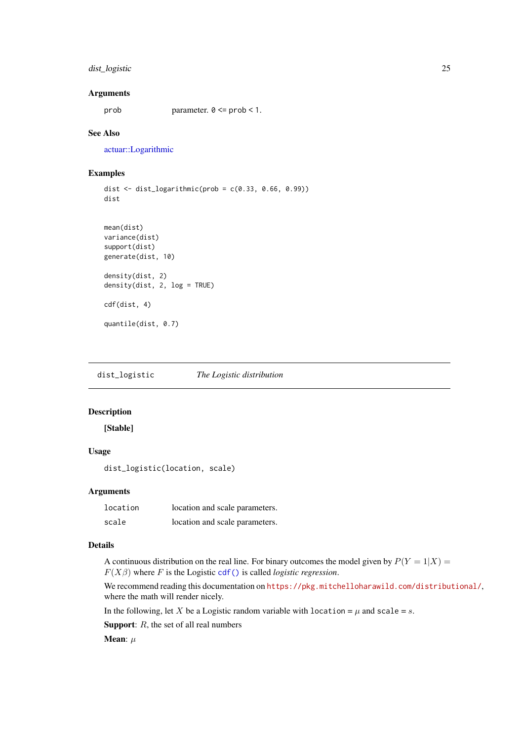#### <span id="page-24-0"></span>dist\_logistic 25

## Arguments

prob parameter.  $0 \leq p$  prob < 1.

## See Also

[actuar::Logarithmic](#page-0-0)

## Examples

```
dist \le dist_logarithmic(prob = c(0.33, 0.66, 0.99))
dist
mean(dist)
variance(dist)
support(dist)
generate(dist, 10)
density(dist, 2)
density(dist, 2, \log = TRUE)
cdf(dist, 4)
quantile(dist, 0.7)
```
dist\_logistic *The Logistic distribution*

## Description

[Stable]

## Usage

```
dist_logistic(location, scale)
```
#### Arguments

| location | location and scale parameters. |
|----------|--------------------------------|
| scale    | location and scale parameters. |

## Details

A continuous distribution on the real line. For binary outcomes the model given by  $P(Y = 1|X) =$  $F(X\beta)$  where F is the Logistic [cdf\(\)](#page-2-1) is called *logistic regression*.

We recommend reading this documentation on <https://pkg.mitchelloharawild.com/distributional/>, where the math will render nicely.

In the following, let X be a Logistic random variable with location =  $\mu$  and scale = s.

**Support:**  $R$ , the set of all real numbers

Mean:  $\mu$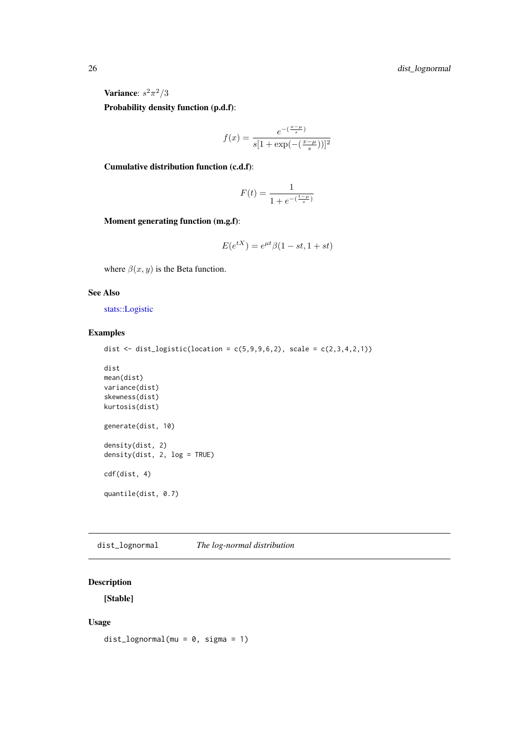Variance:  $s^2\pi^2/3$ 

Probability density function (p.d.f):

$$
f(x) = \frac{e^{-(\frac{x-\mu}{s})}}{s[1 + \exp(-(\frac{x-\mu}{s}))]^2}
$$

Cumulative distribution function (c.d.f):

$$
F(t) = \frac{1}{1 + e^{-(\frac{t - \mu}{s})}}
$$

Moment generating function (m.g.f):

$$
E(e^{tX}) = e^{\mu t} \beta (1 - st, 1 + st)
$$

where  $\beta(x, y)$  is the Beta function.

#### See Also

[stats::Logistic](#page-0-0)

## Examples

dist  $\le$  dist\_logistic(location = c(5,9,9,6,2), scale = c(2,3,4,2,1))

```
dist
mean(dist)
variance(dist)
skewness(dist)
kurtosis(dist)
generate(dist, 10)
density(dist, 2)
density(dist, 2, log = TRUE)
cdf(dist, 4)
quantile(dist, 0.7)
```
dist\_lognormal *The log-normal distribution*

## Description

[Stable]

## Usage

dist\_lognormal(mu = 0, sigma = 1)

<span id="page-25-0"></span>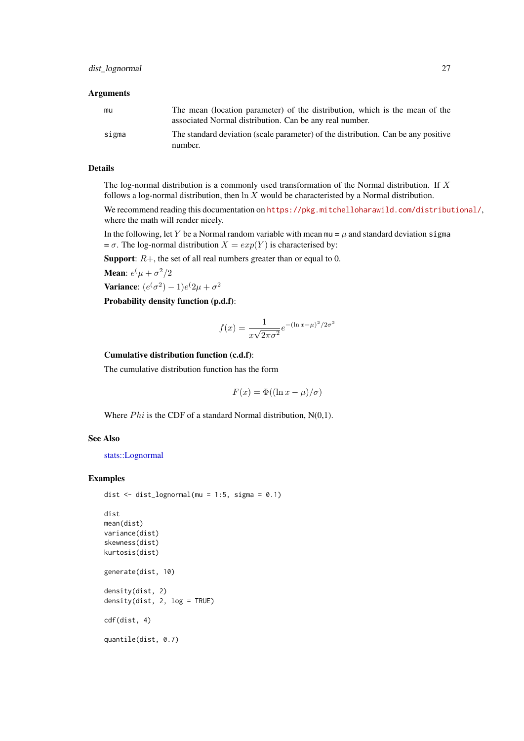#### <span id="page-26-0"></span>Arguments

| mu    | The mean (location parameter) of the distribution, which is the mean of the<br>associated Normal distribution. Can be any real number. |
|-------|----------------------------------------------------------------------------------------------------------------------------------------|
| sigma | The standard deviation (scale parameter) of the distribution. Can be any positive<br>number.                                           |

## Details

The log-normal distribution is a commonly used transformation of the Normal distribution. If X follows a log-normal distribution, then  $\ln X$  would be characteristed by a Normal distribution.

We recommend reading this documentation on <https://pkg.mitchelloharawild.com/distributional/>, where the math will render nicely.

In the following, let Y be a Normal random variable with mean  $mu = \mu$  and standard deviation sigma =  $\sigma$ . The log-normal distribution  $X = exp(Y)$  is characterised by:

**Support:**  $R+$ , the set of all real numbers greater than or equal to 0.

**Mean**:  $e^{(\mu + \sigma^2/2)}$ 

Variance:  $(e^{(\sigma^2)}-1)e^{(\sigma^2)}$ 

Probability density function (p.d.f):

$$
f(x) = \frac{1}{x\sqrt{2\pi\sigma^2}}e^{-(\ln x - \mu)^2/2\sigma^2}
$$

#### Cumulative distribution function (c.d.f):

The cumulative distribution function has the form

$$
F(x) = \Phi((\ln x - \mu)/\sigma)
$$

Where  $Phi$  is the CDF of a standard Normal distribution, N(0,1).

## See Also

[stats::Lognormal](#page-0-0)

#### Examples

```
dist \le dist_lognormal(mu = 1:5, sigma = 0.1)
dist
mean(dist)
variance(dist)
skewness(dist)
kurtosis(dist)
generate(dist, 10)
density(dist, 2)
density(dist, 2, log = TRUE)
cdf(dist, 4)
```
quantile(dist, 0.7)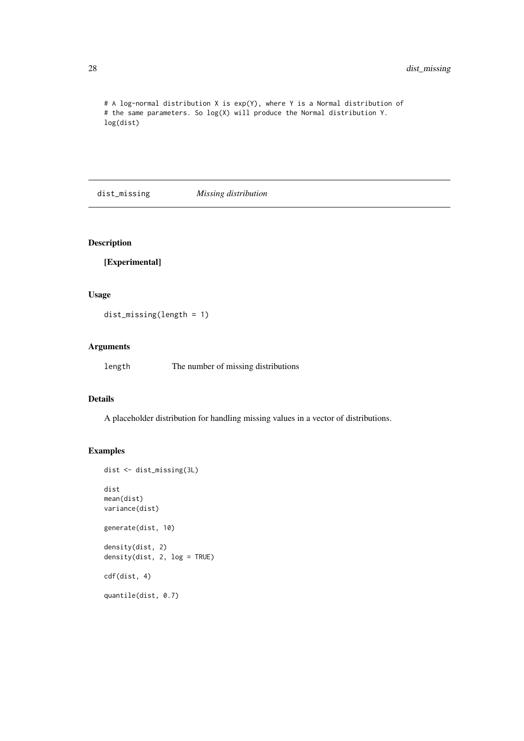<span id="page-27-0"></span># A log-normal distribution X is exp(Y), where Y is a Normal distribution of # the same parameters. So log(X) will produce the Normal distribution Y. log(dist)

dist\_missing *Missing distribution*

## Description

[Experimental]

## Usage

```
dist_missing(length = 1)
```
## Arguments

length The number of missing distributions

## Details

A placeholder distribution for handling missing values in a vector of distributions.

## Examples

```
dist <- dist_missing(3L)
dist
mean(dist)
variance(dist)
generate(dist, 10)
density(dist, 2)
density(dist, 2, log = TRUE)
cdf(dist, 4)
quantile(dist, 0.7)
```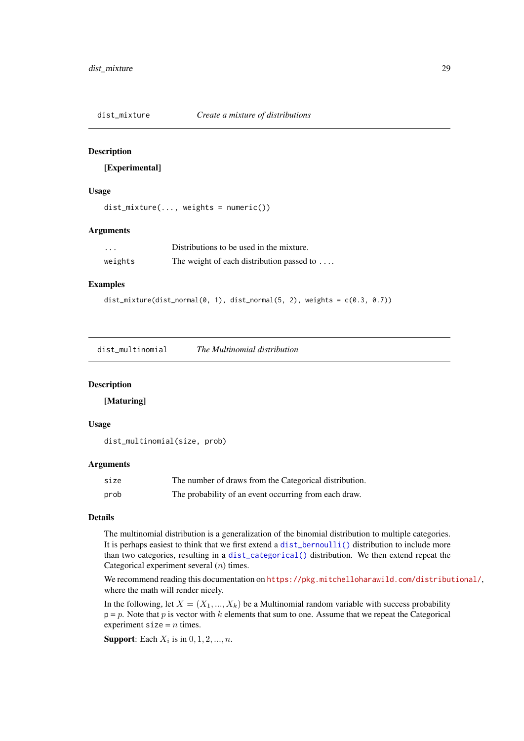<span id="page-28-0"></span>

[Experimental]

## Usage

```
dist_mixture(..., weights = numeric())
```
#### Arguments

| $\cdots$ | Distributions to be used in the mixture.          |
|----------|---------------------------------------------------|
| weights  | The weight of each distribution passed to $\dots$ |

## Examples

```
dist_mixture(dist_normal(0, 1), dist_normal(5, 2), weights = c(0.3, 0.7))
```
dist\_multinomial *The Multinomial distribution*

#### Description

[Maturing]

#### Usage

dist\_multinomial(size, prob)

#### Arguments

| size | The number of draws from the Categorical distribution. |
|------|--------------------------------------------------------|
| prob | The probability of an event occurring from each draw.  |

## Details

The multinomial distribution is a generalization of the binomial distribution to multiple categories. It is perhaps easiest to think that we first extend a [dist\\_bernoulli\(\)](#page-4-1) distribution to include more than two categories, resulting in a [dist\\_categorical\(\)](#page-8-1) distribution. We then extend repeat the Categorical experiment several  $(n)$  times.

We recommend reading this documentation on <https://pkg.mitchelloharawild.com/distributional/>, where the math will render nicely.

In the following, let  $X = (X_1, ..., X_k)$  be a Multinomial random variable with success probability  $p = p$ . Note that p is vector with k elements that sum to one. Assume that we repeat the Categorical experiment size =  $n$  times.

**Support:** Each  $X_i$  is in  $0, 1, 2, ..., n$ .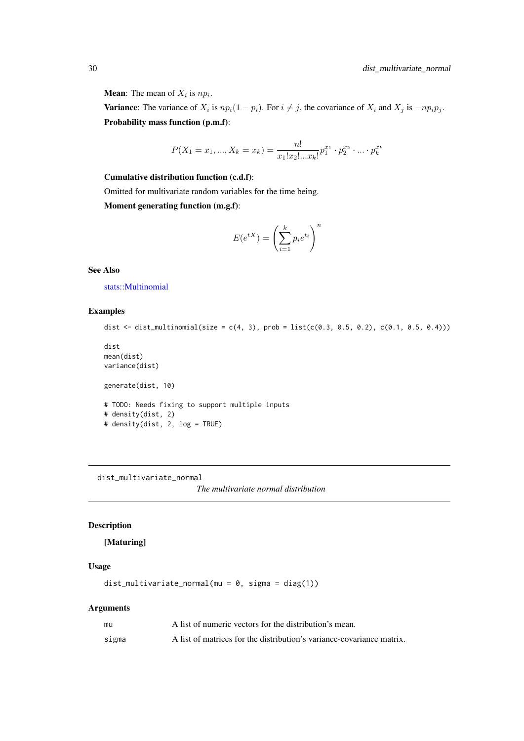## <span id="page-29-0"></span>**Mean**: The mean of  $X_i$  is  $np_i$ .

**Variance:** The variance of  $X_i$  is  $np_i(1 - p_i)$ . For  $i \neq j$ , the covariance of  $X_i$  and  $X_j$  is  $-np_i p_j$ . Probability mass function (p.m.f):

$$
P(X_1 = x_1, ..., X_k = x_k) = \frac{n!}{x_1! x_2! ... x_k!} p_1^{x_1} \cdot p_2^{x_2} \cdot ... \cdot p_k^{x_k}
$$

#### Cumulative distribution function (c.d.f):

Omitted for multivariate random variables for the time being.

Moment generating function (m.g.f):

$$
E(e^{tX}) = \left(\sum_{i=1}^k p_i e^{t_i}\right)^n
$$

#### See Also

[stats::Multinomial](#page-0-0)

#### Examples

```
dist \le dist_multinomial(size = c(4, 3), prob = list(c(0.3, 0.5, 0.2), c(0.1, 0.5, 0.4)))
dist
```

```
mean(dist)
variance(dist)
generate(dist, 10)
# TODO: Needs fixing to support multiple inputs
# density(dist, 2)
# density(dist, 2, log = TRUE)
```
dist\_multivariate\_normal

*The multivariate normal distribution*

## Description

## [Maturing]

#### Usage

dist\_multivariate\_normal(mu =  $0$ , sigma = diag(1))

#### Arguments

| mu    | A list of numeric vectors for the distribution's mean.                |
|-------|-----------------------------------------------------------------------|
| sigma | A list of matrices for the distribution's variance-covariance matrix. |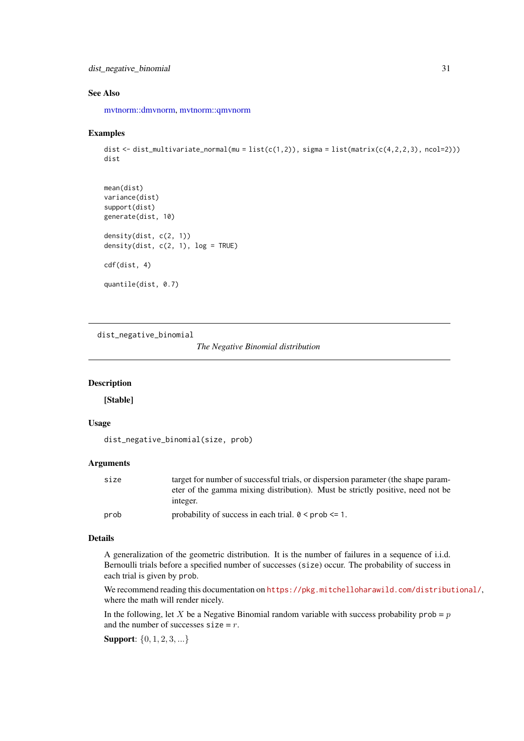#### <span id="page-30-0"></span>dist\_negative\_binomial 31

#### See Also

[mvtnorm::dmvnorm,](#page-0-0) [mvtnorm::qmvnorm](#page-0-0)

#### Examples

```
dist <- dist_multivariate_normal(mu = list(c(1,2)), sigma = list(matrix(c(4,2,2,3), ncol=2)))
dist
```

```
mean(dist)
variance(dist)
support(dist)
generate(dist, 10)
density(dist, c(2, 1))
density(dist, c(2, 1), log = TRUE)
cdf(dist, 4)
quantile(dist, 0.7)
```
dist\_negative\_binomial

```
The Negative Binomial distribution
```
## Description

[Stable]

## Usage

```
dist_negative_binomial(size, prob)
```
#### Arguments

| size | target for number of successful trials, or dispersion parameter (the shape param- |
|------|-----------------------------------------------------------------------------------|
|      | eter of the gamma mixing distribution). Must be strictly positive, need not be    |
|      | integer.                                                                          |
| prob | probability of success in each trial. $0 \leq prob \leq 1$ .                      |

#### Details

A generalization of the geometric distribution. It is the number of failures in a sequence of i.i.d. Bernoulli trials before a specified number of successes (size) occur. The probability of success in each trial is given by prob.

We recommend reading this documentation on <https://pkg.mitchelloharawild.com/distributional/>, where the math will render nicely.

In the following, let X be a Negative Binomial random variable with success probability prob =  $p$ and the number of successes  $size = r$ .

Support: {0, 1, 2, 3, ...}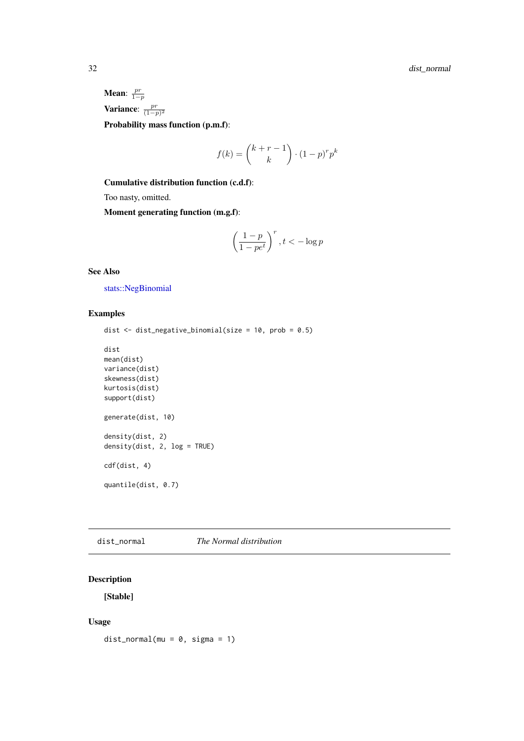<span id="page-31-0"></span>Mean:  $\frac{pr}{1-p}$ Variance:  $\frac{pr}{(1-p)^2}$ Probability mass function (p.m.f):

$$
f(k) = {k+r-1 \choose k} \cdot (1-p)^r p^k
$$

Cumulative distribution function (c.d.f):

Too nasty, omitted.

Moment generating function (m.g.f):

$$
\left(\frac{1-p}{1-pe^t}\right)^r, t < -\log p
$$

#### See Also

[stats::NegBinomial](#page-0-0)

## Examples

```
dist <- dist_negative_binomial(size = 10, prob = 0.5)
```

```
dist
mean(dist)
variance(dist)
skewness(dist)
kurtosis(dist)
support(dist)
generate(dist, 10)
density(dist, 2)
density(dist, 2, log = TRUE)
cdf(dist, 4)
quantile(dist, 0.7)
```
dist\_normal *The Normal distribution*

## Description

[Stable]

## Usage

```
dist\_normal(mu = 0, sigma = 1)
```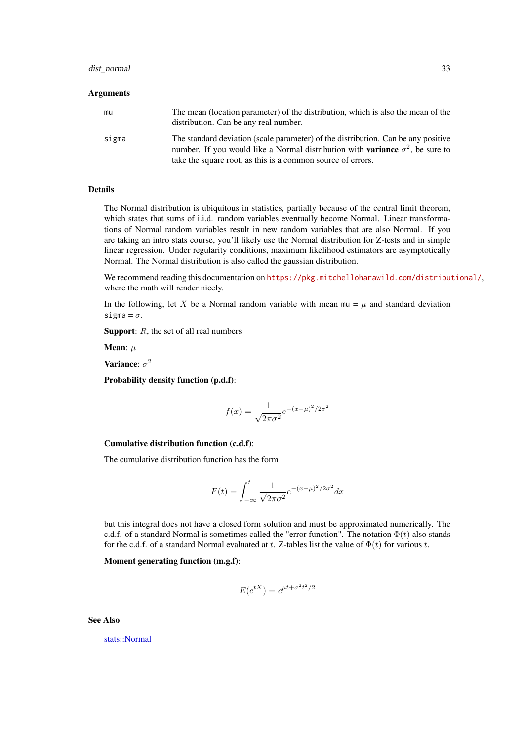#### <span id="page-32-0"></span>dist\_normal 33

#### Arguments

| mu    | The mean (location parameter) of the distribution, which is also the mean of the<br>distribution. Can be any real number.                                                         |
|-------|-----------------------------------------------------------------------------------------------------------------------------------------------------------------------------------|
| sigma | The standard deviation (scale parameter) of the distribution. Can be any positive<br>number. If you would like a Normal distribution with <b>variance</b> $\sigma^2$ , be sure to |
|       | take the square root, as this is a common source of errors.                                                                                                                       |

#### Details

The Normal distribution is ubiquitous in statistics, partially because of the central limit theorem, which states that sums of i.i.d. random variables eventually become Normal. Linear transformations of Normal random variables result in new random variables that are also Normal. If you are taking an intro stats course, you'll likely use the Normal distribution for Z-tests and in simple linear regression. Under regularity conditions, maximum likelihood estimators are asymptotically Normal. The Normal distribution is also called the gaussian distribution.

We recommend reading this documentation on <https://pkg.mitchelloharawild.com/distributional/>, where the math will render nicely.

In the following, let X be a Normal random variable with mean  $mu = \mu$  and standard deviation sigma =  $\sigma$ .

**Support:**  $R$ , the set of all real numbers

Mean:  $\mu$ 

Variance:  $\sigma^2$ 

Probability density function (p.d.f):

$$
f(x) = \frac{1}{\sqrt{2\pi\sigma^2}} e^{-(x-\mu)^2/2\sigma^2}
$$

#### Cumulative distribution function (c.d.f):

The cumulative distribution function has the form

$$
F(t) = \int_{-\infty}^{t} \frac{1}{\sqrt{2\pi\sigma^2}} e^{-(x-\mu)^2/2\sigma^2} dx
$$

but this integral does not have a closed form solution and must be approximated numerically. The c.d.f. of a standard Normal is sometimes called the "error function". The notation  $\Phi(t)$  also stands for the c.d.f. of a standard Normal evaluated at t. Z-tables list the value of  $\Phi(t)$  for various t.

## Moment generating function (m.g.f):

$$
E(e^{tX}) = e^{\mu t + \sigma^2 t^2/2}
$$

See Also

[stats::Normal](#page-0-0)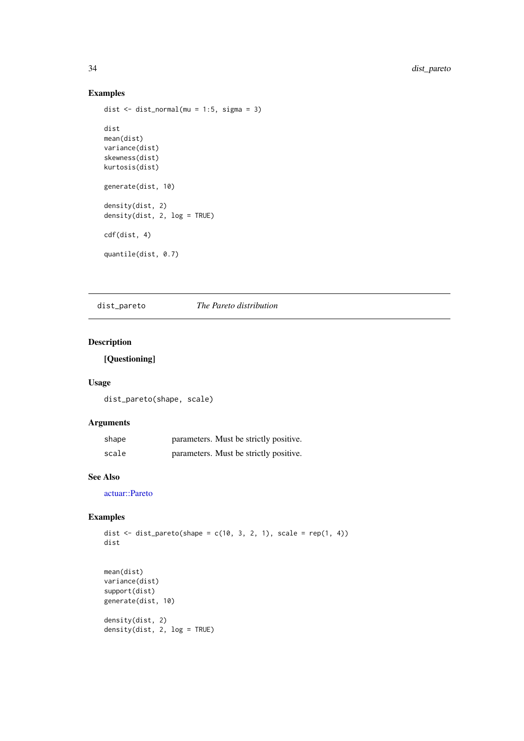## Examples

```
dist <- dist_normal(mu = 1:5, sigma = 3)
dist
mean(dist)
variance(dist)
skewness(dist)
kurtosis(dist)
generate(dist, 10)
density(dist, 2)
density(dist, 2, log = TRUE)
cdf(dist, 4)
quantile(dist, 0.7)
```
dist\_pareto *The Pareto distribution*

## Description

## [Questioning]

#### Usage

dist\_pareto(shape, scale)

## Arguments

| shape | parameters. Must be strictly positive. |
|-------|----------------------------------------|
| scale | parameters. Must be strictly positive. |

## See Also

[actuar::Pareto](#page-0-0)

## Examples

dist <- dist\_pareto(shape =  $c(10, 3, 2, 1)$ , scale = rep(1, 4)) dist

```
mean(dist)
variance(dist)
support(dist)
generate(dist, 10)
density(dist, 2)
```

```
density(dist, 2, log = TRUE)
```
<span id="page-33-0"></span>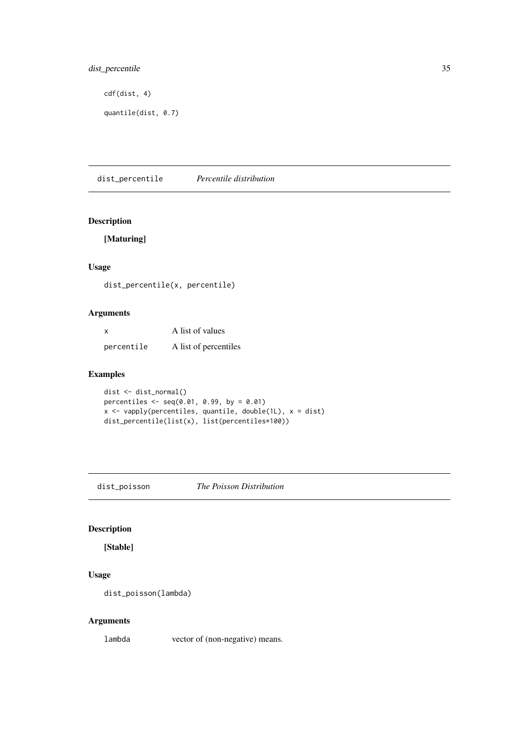## <span id="page-34-0"></span>dist\_percentile 35

cdf(dist, 4)

quantile(dist, 0.7)

dist\_percentile *Percentile distribution*

## Description

[Maturing]

## Usage

dist\_percentile(x, percentile)

#### Arguments

| x          | A list of values      |
|------------|-----------------------|
| percentile | A list of percentiles |

## Examples

dist <- dist\_normal() percentiles  $\leq -$  seq(0.01, 0.99, by = 0.01) x <- vapply(percentiles, quantile, double(1L), x = dist) dist\_percentile(list(x), list(percentiles\*100))

dist\_poisson *The Poisson Distribution*

## Description

[Stable]

## Usage

dist\_poisson(lambda)

## Arguments

lambda vector of (non-negative) means.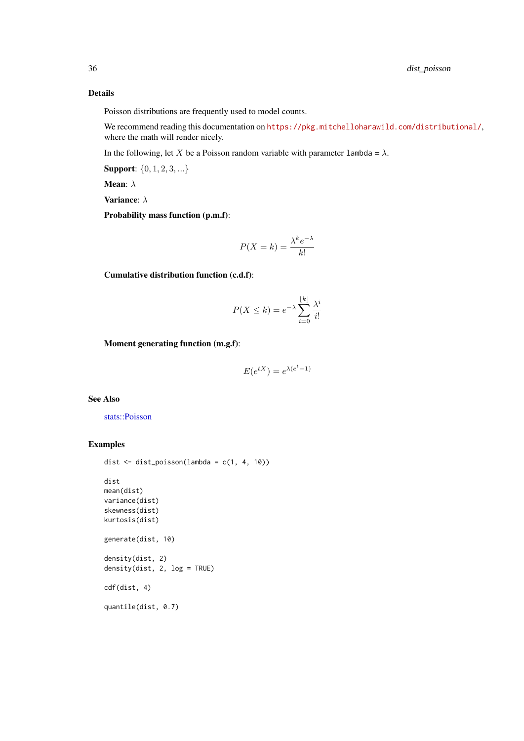#### Details

Poisson distributions are frequently used to model counts.

We recommend reading this documentation on <https://pkg.mitchelloharawild.com/distributional/>, where the math will render nicely.

In the following, let X be a Poisson random variable with parameter  $l$  ambda =  $\lambda$ .

Support: {0, 1, 2, 3, ...}

Mean: λ

Variance: λ

Probability mass function (p.m.f):

$$
P(X = k) = \frac{\lambda^k e^{-\lambda}}{k!}
$$

Cumulative distribution function (c.d.f):

$$
P(X \le k) = e^{-\lambda} \sum_{i=0}^{\lfloor k \rfloor} \frac{\lambda^i}{i!}
$$

Moment generating function (m.g.f):

$$
E(e^{tX}) = e^{\lambda(e^t - 1)}
$$

## See Also

[stats::Poisson](#page-0-0)

#### Examples

```
dist <- dist_poisson(lambda = c(1, 4, 10))
dist
mean(dist)
variance(dist)
skewness(dist)
kurtosis(dist)
generate(dist, 10)
density(dist, 2)
density(dist, 2, log = TRUE)
cdf(dist, 4)
quantile(dist, 0.7)
```
<span id="page-35-0"></span>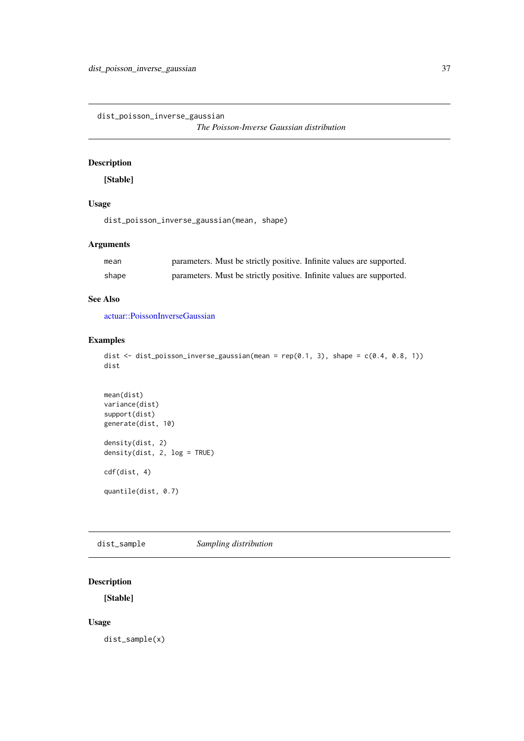<span id="page-36-0"></span>dist\_poisson\_inverse\_gaussian

*The Poisson-Inverse Gaussian distribution*

## Description

[Stable]

## Usage

dist\_poisson\_inverse\_gaussian(mean, shape)

## Arguments

| mean  | parameters. Must be strictly positive. Infinite values are supported. |
|-------|-----------------------------------------------------------------------|
| shape | parameters. Must be strictly positive. Infinite values are supported. |

## See Also

[actuar::PoissonInverseGaussian](#page-0-0)

#### Examples

```
dist <- dist_poisson_inverse_gaussian(mean = rep(0.1, 3), shape = c(0.4, 0.8, 1))
dist
```

```
mean(dist)
variance(dist)
support(dist)
generate(dist, 10)
density(dist, 2)
density(dist, 2, log = TRUE)
cdf(dist, 4)
quantile(dist, 0.7)
```
dist\_sample *Sampling distribution*

## Description

[Stable]

## Usage

dist\_sample(x)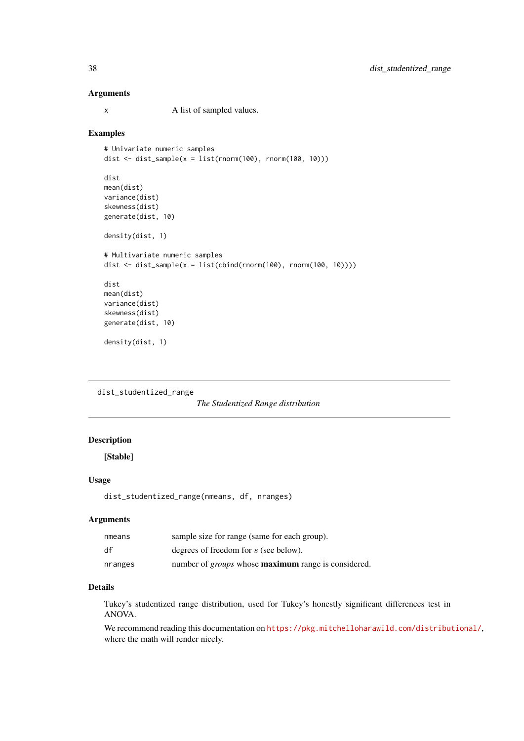#### Arguments

x A list of sampled values.

#### Examples

```
# Univariate numeric samples
dist \le dist_sample(x = list(rnorm(100), rnorm(100, 10)))
dist
mean(dist)
variance(dist)
skewness(dist)
generate(dist, 10)
density(dist, 1)
# Multivariate numeric samples
dist \le dist_sample(x = list(cbind(rnorm(100), rnorm(100, 10))))
dist
mean(dist)
variance(dist)
skewness(dist)
generate(dist, 10)
density(dist, 1)
```

```
dist_studentized_range
```

```
The Studentized Range distribution
```
## Description

[Stable]

## Usage

```
dist_studentized_range(nmeans, df, nranges)
```
## Arguments

| nmeans  | sample size for range (same for each group).                      |
|---------|-------------------------------------------------------------------|
| df      | degrees of freedom for s (see below).                             |
| nranges | number of <i>groups</i> whose <b>maximum</b> range is considered. |

#### Details

Tukey's studentized range distribution, used for Tukey's honestly significant differences test in ANOVA.

We recommend reading this documentation on <https://pkg.mitchelloharawild.com/distributional/>, where the math will render nicely.

<span id="page-37-0"></span>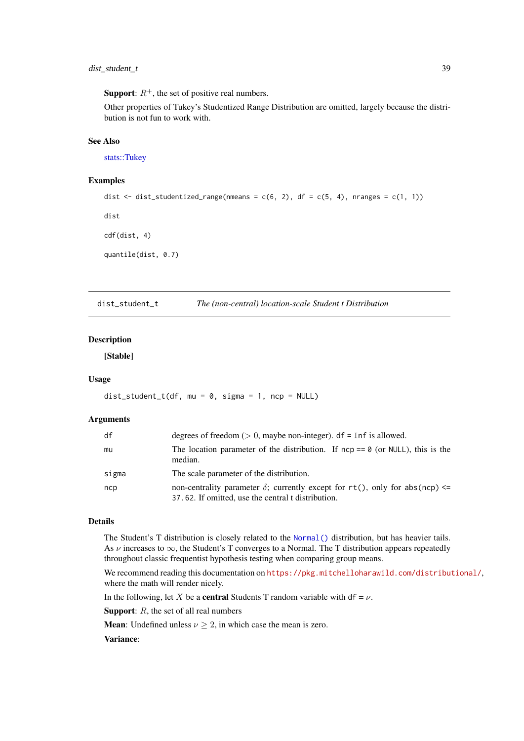#### <span id="page-38-0"></span>dist\_student\_t 39

**Support:**  $R^+$ , the set of positive real numbers.

Other properties of Tukey's Studentized Range Distribution are omitted, largely because the distribution is not fun to work with.

#### See Also

[stats::Tukey](#page-0-0)

## Examples

```
dist \le dist_studentized_range(nmeans = c(6, 2), df = c(5, 4), nranges = c(1, 1))
dist
cdf(dist, 4)
quantile(dist, 0.7)
```
dist\_student\_t *The (non-central) location-scale Student t Distribution*

## Description

[Stable]

## Usage

 $dist_{st} = t(df, mu = 0, sigma = 1, nep = NULL)$ 

## Arguments

| df    | degrees of freedom ( $> 0$ , maybe non-integer). df = Inf is allowed.                                                                     |
|-------|-------------------------------------------------------------------------------------------------------------------------------------------|
| mu    | The location parameter of the distribution. If $ncp == 0$ (or NULL), this is the<br>median.                                               |
| sigma | The scale parameter of the distribution.                                                                                                  |
| ncp   | non-centrality parameter $\delta$ ; currently except for rt(), only for abs(ncp) <=<br>37.62. If omitted, use the central t distribution. |

#### Details

The Student's T distribution is closely related to the [Normal\(\)](#page-0-0) distribution, but has heavier tails. As  $\nu$  increases to  $\infty$ , the Student's T converges to a Normal. The T distribution appears repeatedly throughout classic frequentist hypothesis testing when comparing group means.

We recommend reading this documentation on <https://pkg.mitchelloharawild.com/distributional/>, where the math will render nicely.

In the following, let X be a **central** Students T random variable with df =  $\nu$ .

**Support:**  $R$ , the set of all real numbers

**Mean**: Undefined unless  $\nu \geq 2$ , in which case the mean is zero.

## Variance: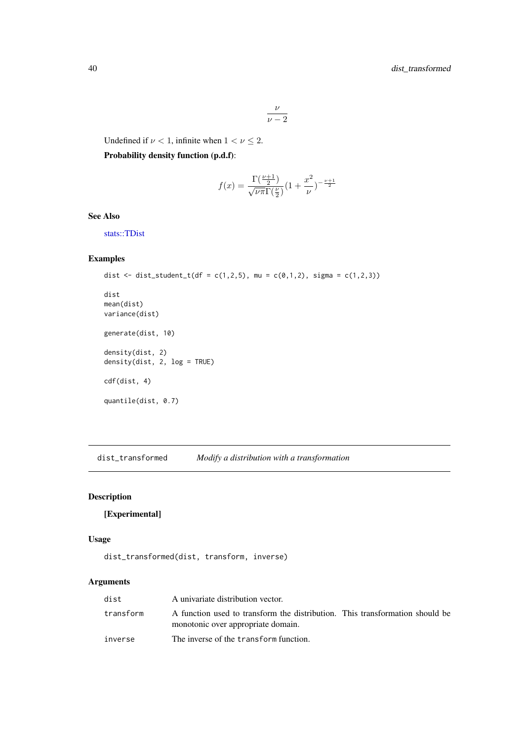$$
\frac{\nu}{\nu-2}
$$

<span id="page-39-0"></span>Undefined if  $\nu < 1$ , infinite when  $1 < \nu \leq 2$ .

Probability density function (p.d.f):

$$
f(x)=\frac{\Gamma(\frac{\nu+1}{2})}{\sqrt{\nu\pi}\Gamma(\frac{\nu}{2})}(1+\frac{x^2}{\nu})^{-\frac{\nu+1}{2}}
$$

## See Also

[stats::TDist](#page-0-0)

## Examples

```
dist <- dist_student_t(df = c(1,2,5), mu = c(0,1,2), sigma = c(1,2,3))
dist
mean(dist)
variance(dist)
generate(dist, 10)
density(dist, 2)
density(dist, 2, log = TRUE)
cdf(dist, 4)
quantile(dist, 0.7)
```
dist\_transformed *Modify a distribution with a transformation*

## Description

[Experimental]

## Usage

dist\_transformed(dist, transform, inverse)

## Arguments

| dist      | A univariate distribution vector.                                                                                  |  |
|-----------|--------------------------------------------------------------------------------------------------------------------|--|
| transform | A function used to transform the distribution. This transformation should be<br>monotonic over appropriate domain. |  |
| inverse   | The inverse of the transform function.                                                                             |  |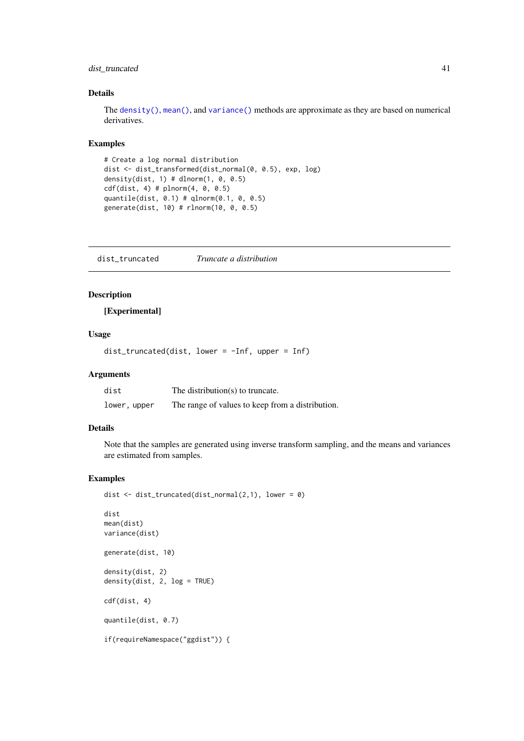#### <span id="page-40-0"></span>dist\_truncated 41

#### Details

The [density\(\)](#page-0-0), [mean\(\)](#page-0-0), and [variance\(\)](#page-61-1) methods are approximate as they are based on numerical derivatives.

## Examples

```
# Create a log normal distribution
dist <- dist_transformed(dist_normal(0, 0.5), exp, log)
density(dist, 1) # dlnorm(1, 0, 0.5)
cdf(dist, 4) # plnorm(4, 0, 0.5)quantile(dist, 0.1) # qlnorm(0.1, 0, 0.5)
generate(dist, 10) # rlnorm(10, 0, 0.5)
```
dist\_truncated *Truncate a distribution*

## Description

[Experimental]

#### Usage

dist\_truncated(dist, lower = -Inf, upper = Inf)

#### Arguments

| dist         | The distribution(s) to truncate.                 |
|--------------|--------------------------------------------------|
| lower, upper | The range of values to keep from a distribution. |

## Details

Note that the samples are generated using inverse transform sampling, and the means and variances are estimated from samples.

## Examples

```
dist \le dist_truncated(dist_normal(2,1), lower = 0)
```

```
dist
mean(dist)
variance(dist)
generate(dist, 10)
density(dist, 2)
density(dist, 2, log = TRUE)
cdf(dist, 4)
quantile(dist, 0.7)
if(requireNamespace("ggdist")) {
```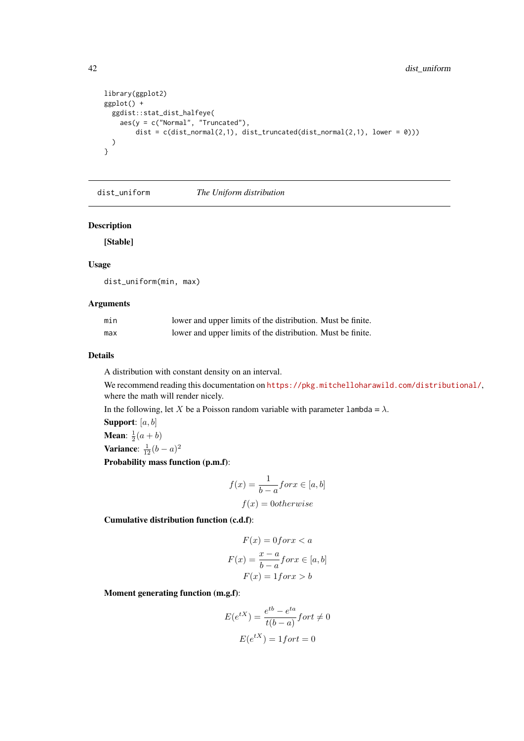```
library(ggplot2)
ggplot() +
  ggdist::stat_dist_halfeye(
    \text{aes}(y = c("Normal", "Truncated"),dist = c(dist_normal(2,1), dist_truncated(dist_normal(2,1), lower = 0)))
  )
}
```

```
dist_uniform The Uniform distribution
```
[Stable]

## Usage

dist\_uniform(min, max)

## Arguments

| min | lower and upper limits of the distribution. Must be finite. |  |
|-----|-------------------------------------------------------------|--|
| max | lower and upper limits of the distribution. Must be finite. |  |

#### Details

A distribution with constant density on an interval.

We recommend reading this documentation on <https://pkg.mitchelloharawild.com/distributional/>, where the math will render nicely.

In the following, let X be a Poisson random variable with parameter lambda =  $\lambda$ .

Support: [a, b] **Mean**:  $\frac{1}{2}(a+b)$ Variance:  $\frac{1}{12}(b-a)^2$ 

Probability mass function (p.m.f):

$$
f(x) = \frac{1}{b-a} \text{for } x \in [a, b]
$$

$$
f(x) = 0 \text{otherwise}
$$

Cumulative distribution function (c.d.f):

$$
F(x) = 0 \text{ for } x < a
$$
\n
$$
F(x) = \frac{x - a}{b - a} \text{ for } x \in [a, b]
$$
\n
$$
F(x) = 1 \text{ for } x > b
$$

Moment generating function (m.g.f):

$$
E(e^{tX}) = \frac{e^{tb} - e^{ta}}{t(b-a)} fort \neq 0
$$

$$
E(e^{tX}) = 1 fort = 0
$$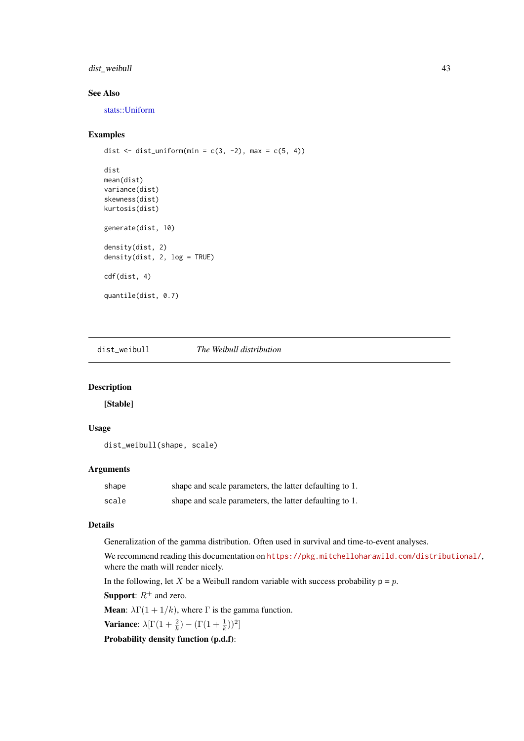#### <span id="page-42-0"></span>dist\_weibull 43

## See Also

[stats::Uniform](#page-0-0)

## Examples

```
dist \le dist_uniform(min = c(3, -2), max = c(5, 4))
dist
mean(dist)
variance(dist)
skewness(dist)
kurtosis(dist)
generate(dist, 10)
density(dist, 2)
density(dist, 2, log = TRUE)
cdf(dist, 4)
quantile(dist, 0.7)
```
dist\_weibull *The Weibull distribution*

#### Description

[Stable]

## Usage

```
dist_weibull(shape, scale)
```
## Arguments

| shape | shape and scale parameters, the latter defaulting to 1. |
|-------|---------------------------------------------------------|
| scale | shape and scale parameters, the latter defaulting to 1. |

## Details

Generalization of the gamma distribution. Often used in survival and time-to-event analyses.

We recommend reading this documentation on <https://pkg.mitchelloharawild.com/distributional/>, where the math will render nicely.

In the following, let X be a Weibull random variable with success probability  $p = p$ .

**Support:**  $R^+$  and zero.

**Mean:**  $\lambda \Gamma(1 + 1/k)$ , where  $\Gamma$  is the gamma function.

Variance:  $\lambda \left[ \Gamma(1 + \frac{2}{k}) - (\Gamma(1 + \frac{1}{k}))^2 \right]$ 

Probability density function (p.d.f):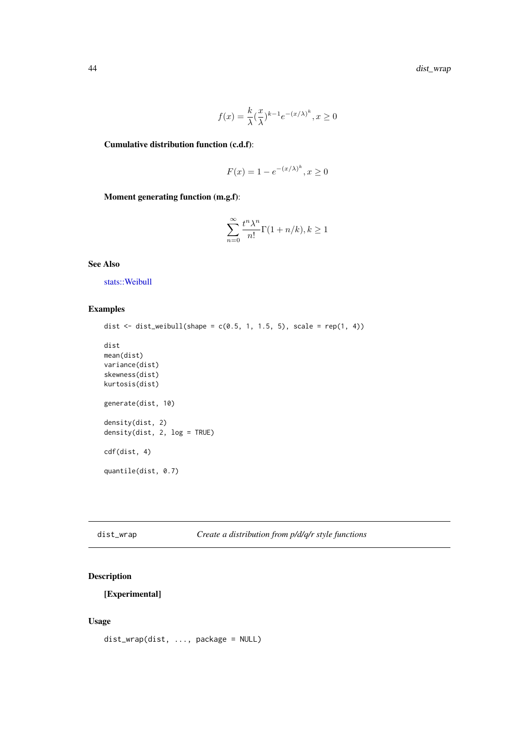$$
f(x) = \frac{k}{\lambda} (\frac{x}{\lambda})^{k-1} e^{-(x/\lambda)^k}, x \ge 0
$$

<span id="page-43-0"></span>Cumulative distribution function (c.d.f):

$$
F(x) = 1 - e^{-(x/\lambda)^k}, x \ge 0
$$

Moment generating function (m.g.f):

$$
\sum_{n=0}^{\infty} \frac{t^n \lambda^n}{n!} \Gamma(1+n/k), k \ge 1
$$

See Also

[stats::Weibull](#page-0-0)

## Examples

```
dist \le dist_weibull(shape = c(0.5, 1, 1.5, 5), scale = rep(1, 4))
dist
mean(dist)
variance(dist)
skewness(dist)
kurtosis(dist)
generate(dist, 10)
density(dist, 2)
density(dist, 2, log = TRUE)
cdf(dist, 4)
quantile(dist, 0.7)
```

|  | dist wrap |
|--|-----------|
|--|-----------|

## dist\_wrap *Create a distribution from p/d/q/r style functions*

## Description

[Experimental]

## Usage

```
dist_wrap(dist, ..., package = NULL)
```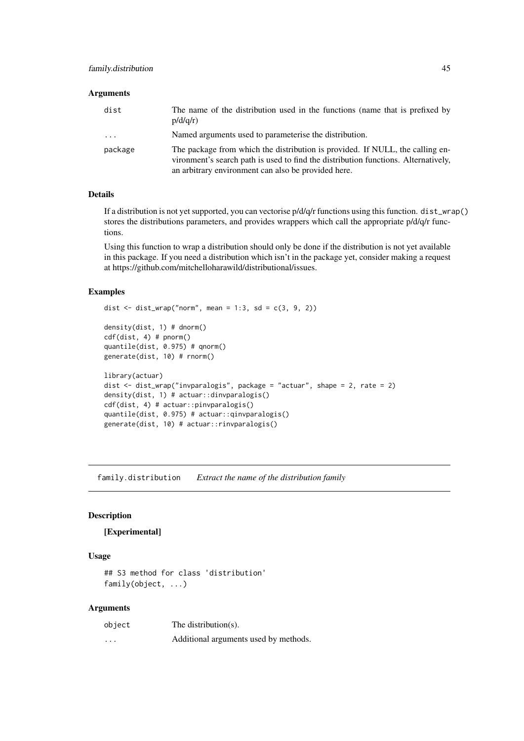#### <span id="page-44-0"></span>Arguments

| dist     | The name of the distribution used in the functions (name that is prefixed by<br>p/d/q/r                                                                                                                                    |
|----------|----------------------------------------------------------------------------------------------------------------------------------------------------------------------------------------------------------------------------|
| $\cdots$ | Named arguments used to parameterise the distribution.                                                                                                                                                                     |
| package  | The package from which the distribution is provided. If NULL, the calling en-<br>vironment's search path is used to find the distribution functions. Alternatively,<br>an arbitrary environment can also be provided here. |

#### Details

If a distribution is not yet supported, you can vectorise  $p/d/q/r$  functions using this function. dist\_wrap() stores the distributions parameters, and provides wrappers which call the appropriate p/d/q/r functions.

Using this function to wrap a distribution should only be done if the distribution is not yet available in this package. If you need a distribution which isn't in the package yet, consider making a request at https://github.com/mitchelloharawild/distributional/issues.

#### Examples

```
dist \le dist_wrap("norm", mean = 1:3, sd = c(3, 9, 2))
density(dist, 1) # dnorm()
cdf(dist, 4) # pnorm()
quantile(dist, 0.975) # qnorm()
generate(dist, 10) # rnorm()
library(actuar)
dist <- dist_wrap("invparalogis", package = "actuar", shape = 2, rate = 2)
density(dist, 1) # actuar::dinvparalogis()
cdf(dist, 4) # actuar::pinvparalogis()
quantile(dist, 0.975) # actuar::qinvparalogis()
generate(dist, 10) # actuar::rinvparalogis()
```
family.distribution *Extract the name of the distribution family*

## Description

#### [Experimental]

## Usage

```
## S3 method for class 'distribution'
family(object, ...)
```
#### Arguments

| object   | The distribution(s).                  |
|----------|---------------------------------------|
| $\cdots$ | Additional arguments used by methods. |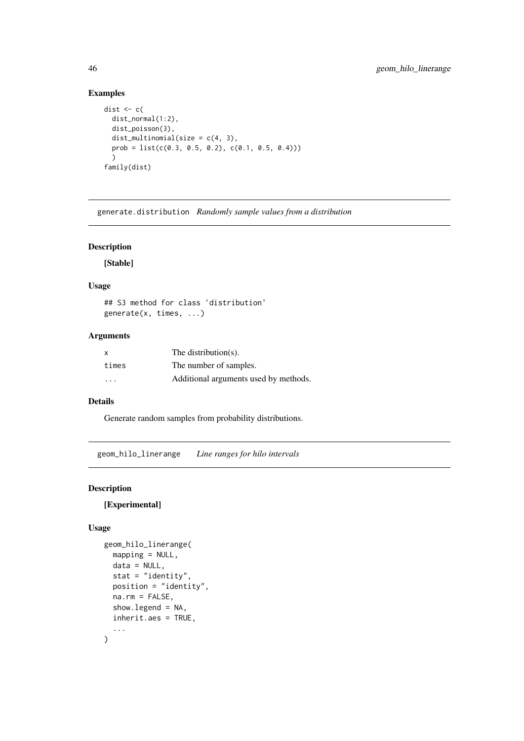## Examples

```
dist \leq c (
  dist_normal(1:2),
  dist_poisson(3),
  dist_multinomial(size = c(4, 3),
  prob = list(c(0.3, 0.5, 0.2), c(0.1, 0.5, 0.4))))
family(dist)
```
generate.distribution *Randomly sample values from a distribution*

## Description

[Stable]

## Usage

## S3 method for class 'distribution' generate(x, times, ...)

## Arguments

| x       | The distribution(s).                  |
|---------|---------------------------------------|
| times   | The number of samples.                |
| $\cdot$ | Additional arguments used by methods. |

## Details

Generate random samples from probability distributions.

<span id="page-45-1"></span>geom\_hilo\_linerange *Line ranges for hilo intervals*

## Description

## [Experimental]

## Usage

```
geom_hilo_linerange(
  mapping = NULL,
  data = NULL,stat = "identity",
  position = "identity",
  na.rm = FALSE,
  show.legend = NA,
  inherit.aes = TRUE,
  ...
)
```
<span id="page-45-0"></span>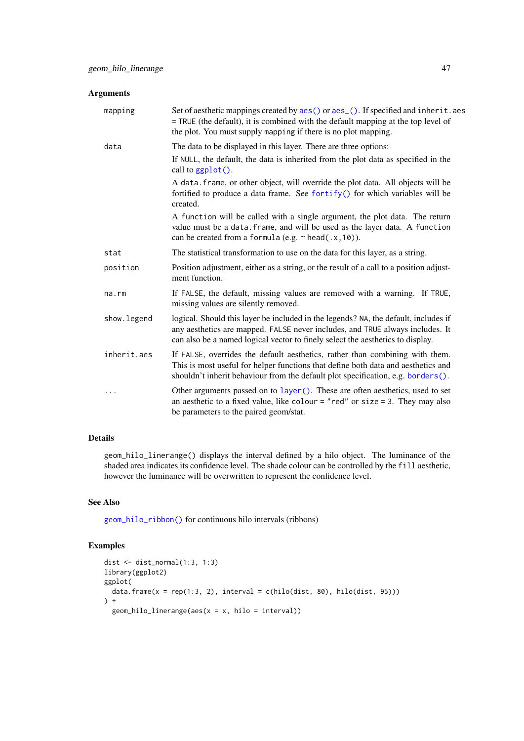<span id="page-46-0"></span>

| <b>Arguments</b> |                                                                                                                                                                                                                                                        |
|------------------|--------------------------------------------------------------------------------------------------------------------------------------------------------------------------------------------------------------------------------------------------------|
| mapping          | Set of aesthetic mappings created by aes() or aes_(). If specified and inherit.aes<br>= TRUE (the default), it is combined with the default mapping at the top level of<br>the plot. You must supply mapping if there is no plot mapping.              |
| data             | The data to be displayed in this layer. There are three options:                                                                                                                                                                                       |
|                  | If NULL, the default, the data is inherited from the plot data as specified in the<br>call to ggplot().                                                                                                                                                |
|                  | A data. frame, or other object, will override the plot data. All objects will be<br>fortified to produce a data frame. See fortify() for which variables will be<br>created.                                                                           |
|                  | A function will be called with a single argument, the plot data. The return<br>value must be a data. frame, and will be used as the layer data. A function<br>can be created from a formula (e.g. $\sim$ head(.x, 10)).                                |
| stat             | The statistical transformation to use on the data for this layer, as a string.                                                                                                                                                                         |
| position         | Position adjustment, either as a string, or the result of a call to a position adjust-<br>ment function.                                                                                                                                               |
| na.rm            | If FALSE, the default, missing values are removed with a warning. If TRUE,<br>missing values are silently removed.                                                                                                                                     |
| show. legend     | logical. Should this layer be included in the legends? NA, the default, includes if<br>any aesthetics are mapped. FALSE never includes, and TRUE always includes. It<br>can also be a named logical vector to finely select the aesthetics to display. |
| inherit.aes      | If FALSE, overrides the default aesthetics, rather than combining with them.<br>This is most useful for helper functions that define both data and aesthetics and<br>shouldn't inherit behaviour from the default plot specification, e.g. borders().  |
| .                | Other arguments passed on to layer (). These are often aesthetics, used to set<br>an aesthetic to a fixed value, like colour = "red" or size = 3. They may also<br>be parameters to the paired geom/stat.                                              |

## Details

geom\_hilo\_linerange() displays the interval defined by a hilo object. The luminance of the shaded area indicates its confidence level. The shade colour can be controlled by the fill aesthetic, however the luminance will be overwritten to represent the confidence level.

## See Also

[geom\\_hilo\\_ribbon\(\)](#page-47-1) for continuous hilo intervals (ribbons)

## Examples

```
dist <- dist_normal(1:3, 1:3)
library(ggplot2)
ggplot(
  data.frame(x = rep(1:3, 2), interval = c(hilo(dist, 80), hilo(dist, 95)))
) +
  geom_hilo_linerange(aes(x = x, hilo = interval))
```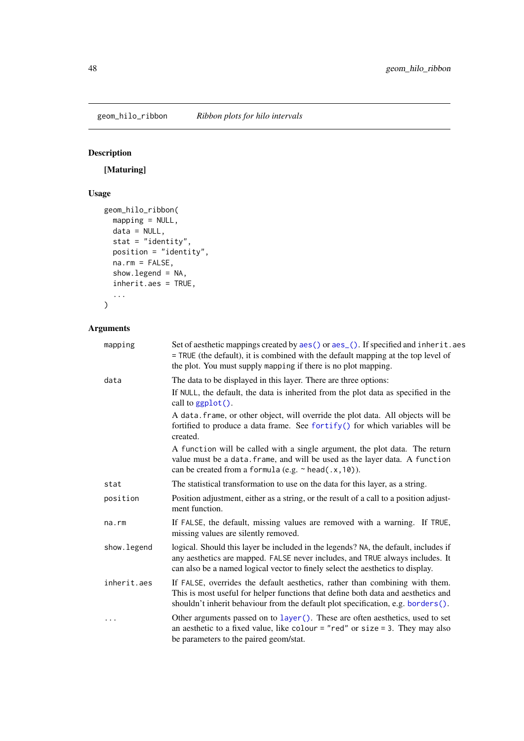<span id="page-47-1"></span><span id="page-47-0"></span>geom\_hilo\_ribbon *Ribbon plots for hilo intervals*

## Description

[Maturing]

## Usage

```
geom_hilo_ribbon(
  mapping = NULL,
  data = NULL,stat = "identity",
  position = "identity",
  na.rm = FALSE,
  show.legend = NA,
  inherit.aes = TRUE,
  ...
\lambda
```
## Arguments

| mapping      | Set of aesthetic mappings created by aes() or aes_(). If specified and inherit.aes<br>= TRUE (the default), it is combined with the default mapping at the top level of<br>the plot. You must supply mapping if there is no plot mapping.              |
|--------------|--------------------------------------------------------------------------------------------------------------------------------------------------------------------------------------------------------------------------------------------------------|
| data         | The data to be displayed in this layer. There are three options:                                                                                                                                                                                       |
|              | If NULL, the default, the data is inherited from the plot data as specified in the<br>call to $ggplot()$ .                                                                                                                                             |
|              | A data. frame, or other object, will override the plot data. All objects will be<br>fortified to produce a data frame. See fortify() for which variables will be<br>created.                                                                           |
|              | A function will be called with a single argument, the plot data. The return<br>value must be a data. frame, and will be used as the layer data. A function<br>can be created from a formula (e.g. $\sim$ head(.x, 10)).                                |
| stat         | The statistical transformation to use on the data for this layer, as a string.                                                                                                                                                                         |
| position     | Position adjustment, either as a string, or the result of a call to a position adjust-<br>ment function.                                                                                                                                               |
| $na$ . $rm$  | If FALSE, the default, missing values are removed with a warning. If TRUE,<br>missing values are silently removed.                                                                                                                                     |
| show. legend | logical. Should this layer be included in the legends? NA, the default, includes if<br>any aesthetics are mapped. FALSE never includes, and TRUE always includes. It<br>can also be a named logical vector to finely select the aesthetics to display. |
| inherit.aes  | If FALSE, overrides the default aesthetics, rather than combining with them.<br>This is most useful for helper functions that define both data and aesthetics and<br>shouldn't inherit behaviour from the default plot specification, e.g. borders().  |
| .            | Other arguments passed on to layer (). These are often aesthetics, used to set<br>an aesthetic to a fixed value, like colour = "red" or size = 3. They may also<br>be parameters to the paired geom/stat.                                              |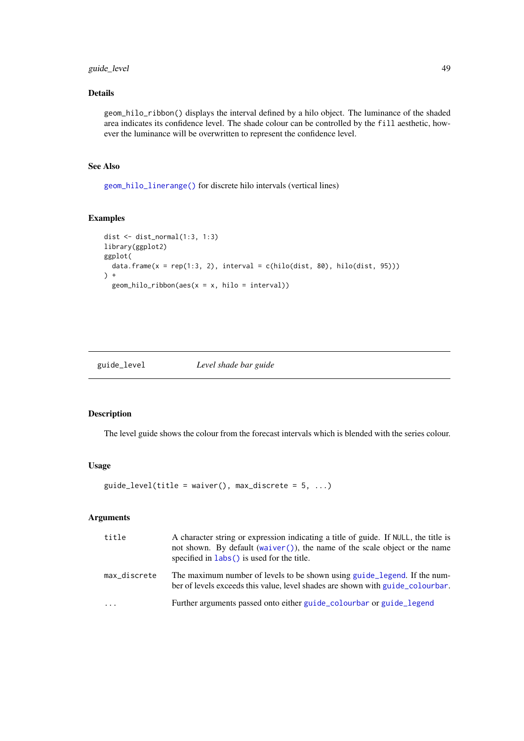#### <span id="page-48-0"></span>guide\_level 49

## Details

geom\_hilo\_ribbon() displays the interval defined by a hilo object. The luminance of the shaded area indicates its confidence level. The shade colour can be controlled by the fill aesthetic, however the luminance will be overwritten to represent the confidence level.

## See Also

[geom\\_hilo\\_linerange\(\)](#page-45-1) for discrete hilo intervals (vertical lines)

## Examples

```
dist <- dist_normal(1:3, 1:3)
library(ggplot2)
ggplot(
  data.frame(x = rep(1:3, 2), interval = c(hilo(dist, 80), hilo(dist, 95)))
\left( \begin{array}{c} + \end{array} \right)geom_hilo_ribbon(aes(x = x, hilo = interval))
```
guide\_level *Level shade bar guide*

#### Description

The level guide shows the colour from the forecast intervals which is blended with the series colour.

#### Usage

```
guide_level(title = waiver(), max_discrete = 5, ...)
```
## Arguments

| title        | A character string or expression indicating a title of guide. If NULL, the title is<br>not shown. By default (waiver()), the name of the scale object or the name<br>specified in $\text{ labs}()$ is used for the title. |
|--------------|---------------------------------------------------------------------------------------------------------------------------------------------------------------------------------------------------------------------------|
| max discrete | The maximum number of levels to be shown using guide_legend. If the num-<br>ber of levels exceeds this value, level shades are shown with guide colourbar.                                                                |
| .            | Further arguments passed onto either guide_colourbar or guide_legend                                                                                                                                                      |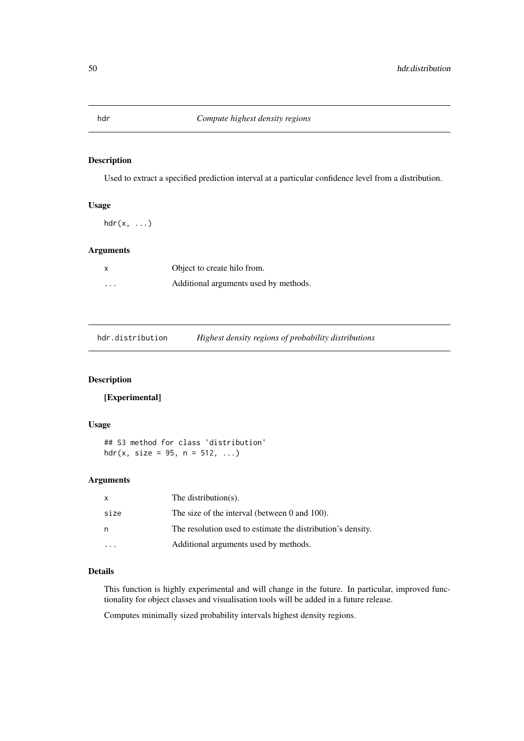<span id="page-49-0"></span>Used to extract a specified prediction interval at a particular confidence level from a distribution.

## Usage

 $hdr(x, \ldots)$ 

## Arguments

|          | Object to create hilo from.           |
|----------|---------------------------------------|
| $\cdots$ | Additional arguments used by methods. |

<span id="page-49-1"></span>hdr.distribution *Highest density regions of probability distributions*

## Description

[Experimental]

#### Usage

## S3 method for class 'distribution' hdr(x, size =  $95$ , n =  $512$ , ...)

## Arguments

| X    | The distribution $(s)$ .                                    |
|------|-------------------------------------------------------------|
| size | The size of the interval (between 0 and 100).               |
| n    | The resolution used to estimate the distribution's density. |
|      | Additional arguments used by methods.                       |

#### Details

This function is highly experimental and will change in the future. In particular, improved functionality for object classes and visualisation tools will be added in a future release.

Computes minimally sized probability intervals highest density regions.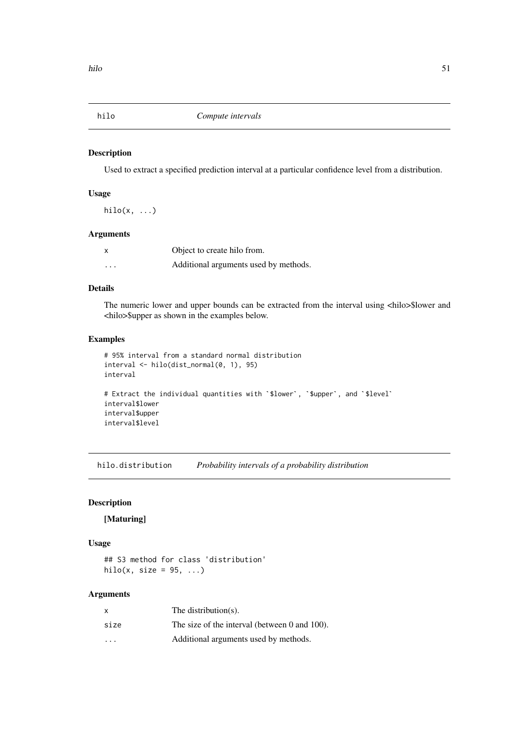<span id="page-50-0"></span>

Used to extract a specified prediction interval at a particular confidence level from a distribution.

## Usage

 $hilo(x, \ldots)$ 

## Arguments

| X        | Object to create hilo from.           |
|----------|---------------------------------------|
| $\cdots$ | Additional arguments used by methods. |

## Details

The numeric lower and upper bounds can be extracted from the interval using <hilo>\$lower and <hilo>\$upper as shown in the examples below.

## Examples

```
# 95% interval from a standard normal distribution
interval <- hilo(dist_normal(0, 1), 95)
interval
# Extract the individual quantities with `$lower`, `$upper`, and `$level`
interval$lower
interval$upper
interval$level
```
hilo.distribution *Probability intervals of a probability distribution*

## Description

## [Maturing]

## Usage

## S3 method for class 'distribution' hilo(x, size =  $95, ...$ )

## Arguments

| $\mathsf{x}$            | The distribution $(s)$ .                      |
|-------------------------|-----------------------------------------------|
| size                    | The size of the interval (between 0 and 100). |
| $\cdot$ $\cdot$ $\cdot$ | Additional arguments used by methods.         |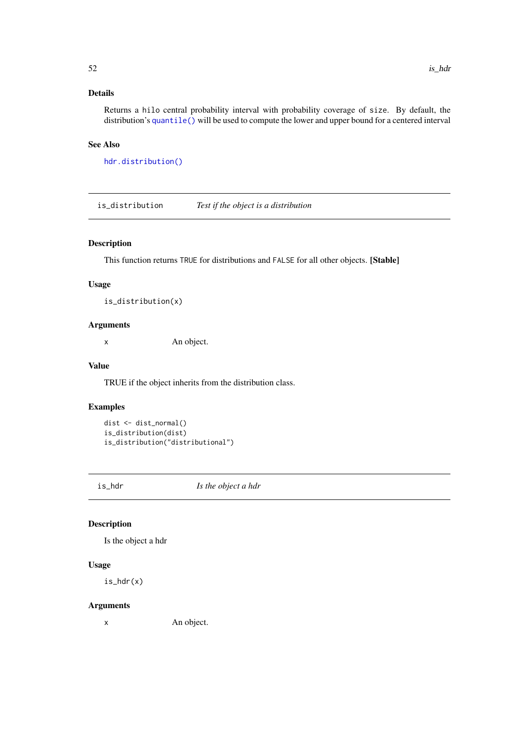## <span id="page-51-0"></span>Details

Returns a hilo central probability interval with probability coverage of size. By default, the distribution's [quantile\(\)](#page-0-0) will be used to compute the lower and upper bound for a centered interval

#### See Also

[hdr.distribution\(\)](#page-49-1)

is\_distribution *Test if the object is a distribution*

## Description

This function returns TRUE for distributions and FALSE for all other objects. [Stable]

## Usage

```
is_distribution(x)
```
## Arguments

x An object.

#### Value

TRUE if the object inherits from the distribution class.

#### Examples

```
dist <- dist_normal()
is_distribution(dist)
is_distribution("distributional")
```
is\_hdr *Is the object a hdr*

## Description

Is the object a hdr

#### Usage

is\_hdr(x)

#### Arguments

x An object.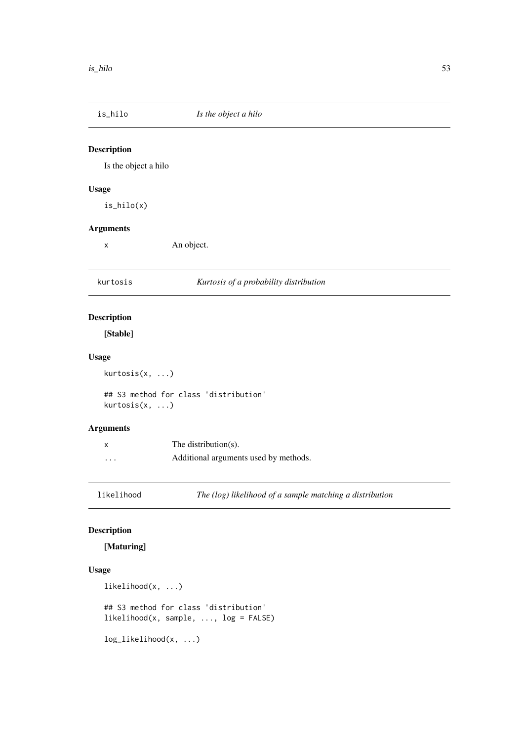<span id="page-52-0"></span>

| is_hilo              | Is the object a hilo                                     |
|----------------------|----------------------------------------------------------|
| <b>Description</b>   |                                                          |
| Is the object a hilo |                                                          |
| <b>Usage</b>         |                                                          |
| $is\_hilo(x)$        |                                                          |
| <b>Arguments</b>     |                                                          |
| $\pmb{\times}$       | An object.                                               |
| kurtosis             | Kurtosis of a probability distribution                   |
| <b>Description</b>   |                                                          |
| [Stable]             |                                                          |
| <b>Usage</b>         |                                                          |
| kurtosis(x, )        |                                                          |
| kurtosis(x, )        | ## S3 method for class 'distribution'                    |
| <b>Arguments</b>     |                                                          |
| X                    | The distribution(s).                                     |
| $\cdots$             | Additional arguments used by methods.                    |
| likelihood           | The (log) likelihood of a sample matching a distribution |

[Maturing]

## Usage

```
likelihood(x, ...)
## S3 method for class 'distribution'
likelihood(x, sample, ..., log = FALSE)
```
log\_likelihood(x, ...)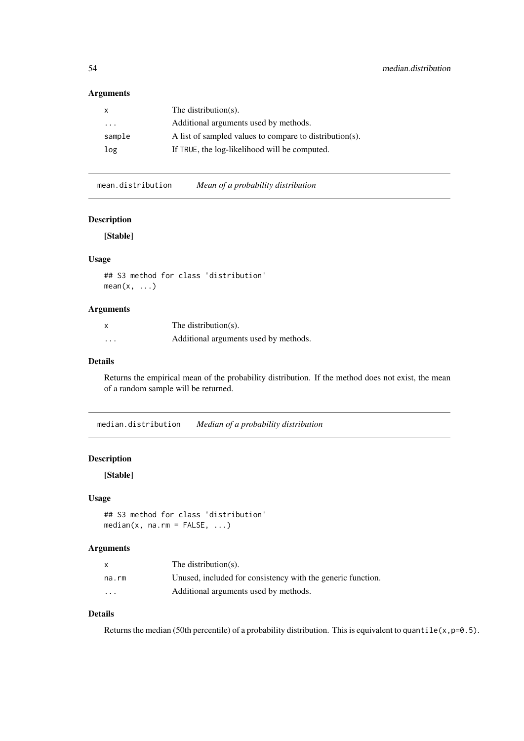## <span id="page-53-0"></span>Arguments

|                         | The distribution(s).                                    |
|-------------------------|---------------------------------------------------------|
| $\cdot$ $\cdot$ $\cdot$ | Additional arguments used by methods.                   |
| sample                  | A list of sampled values to compare to distribution(s). |
| log                     | If TRUE, the log-likelihood will be computed.           |
|                         |                                                         |

mean.distribution *Mean of a probability distribution*

## Description

[Stable]

## Usage

## S3 method for class 'distribution'  $mean(x, \ldots)$ 

## Arguments

| $\boldsymbol{\mathsf{x}}$ | The distribution(s).                  |
|---------------------------|---------------------------------------|
| $\cdots$                  | Additional arguments used by methods. |

## Details

Returns the empirical mean of the probability distribution. If the method does not exist, the mean of a random sample will be returned.

median.distribution *Median of a probability distribution*

#### Description

[Stable]

## Usage

```
## S3 method for class 'distribution'
median(x, na.rm = FALSE, ...)
```
## Arguments

|          | The distribution( $s$ ).                                    |
|----------|-------------------------------------------------------------|
| na.rm    | Unused, included for consistency with the generic function. |
| $\cdots$ | Additional arguments used by methods.                       |

## Details

Returns the median (50th percentile) of a probability distribution. This is equivalent to quantile(x,  $p=0.5$ ).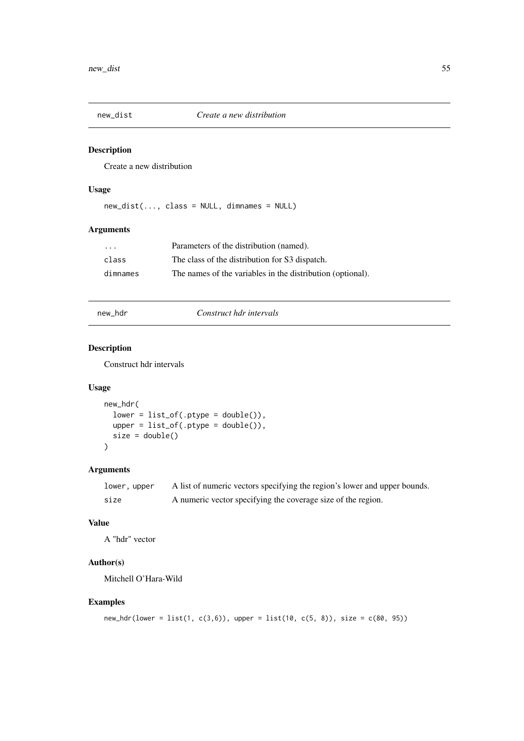<span id="page-54-0"></span>

Create a new distribution

## Usage

new\_dist(..., class = NULL, dimnames = NULL)

## Arguments

| $\cdots$ | Parameters of the distribution (named).                    |
|----------|------------------------------------------------------------|
| class    | The class of the distribution for S3 dispatch.             |
| dimnames | The names of the variables in the distribution (optional). |

## new\_hdr *Construct hdr intervals*

## Description

Construct hdr intervals

#### Usage

```
new_hdr(
  lower = list_of(.ptype = double());upper = list_of(.ptype = double()),
  size = double()
)
```
## Arguments

| lower, upper | A list of numeric vectors specifying the region's lower and upper bounds. |
|--------------|---------------------------------------------------------------------------|
| size         | A numeric vector specifying the coverage size of the region.              |

#### Value

A "hdr" vector

## Author(s)

Mitchell O'Hara-Wild

## Examples

```
new_hdr(lower = list(1, c(3,6)), upper = list(10, c(5, 8)), size = c(80, 95))
```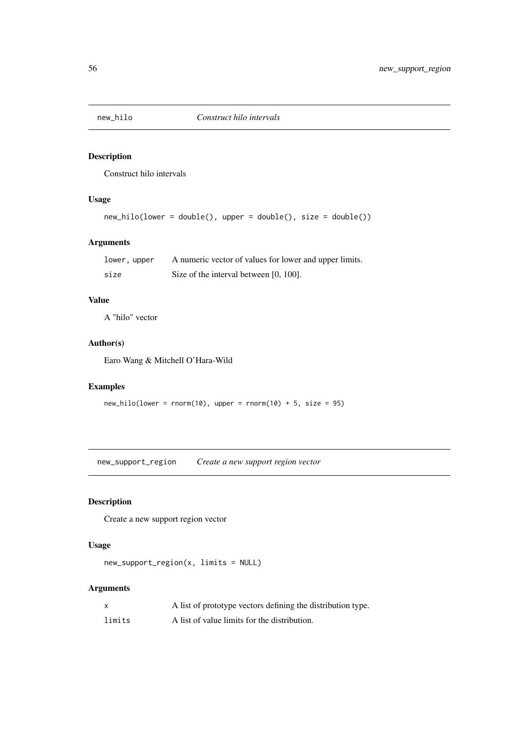<span id="page-55-0"></span>

Construct hilo intervals

## Usage

```
new_hilo(lower = double(), upper = double(), size = double())
```
## Arguments

| lower, upper | A numeric vector of values for lower and upper limits. |
|--------------|--------------------------------------------------------|
| size         | Size of the interval between [0, 100].                 |

## Value

A "hilo" vector

## Author(s)

Earo Wang & Mitchell O'Hara-Wild

## Examples

```
new\_hilo(lower = rnorm(10), upper = rnorm(10) + 5, size = 95)
```
new\_support\_region *Create a new support region vector*

## Description

Create a new support region vector

## Usage

```
new_support_region(x, limits = NULL)
```
## Arguments

|        | A list of prototype vectors defining the distribution type. |
|--------|-------------------------------------------------------------|
| limits | A list of value limits for the distribution.                |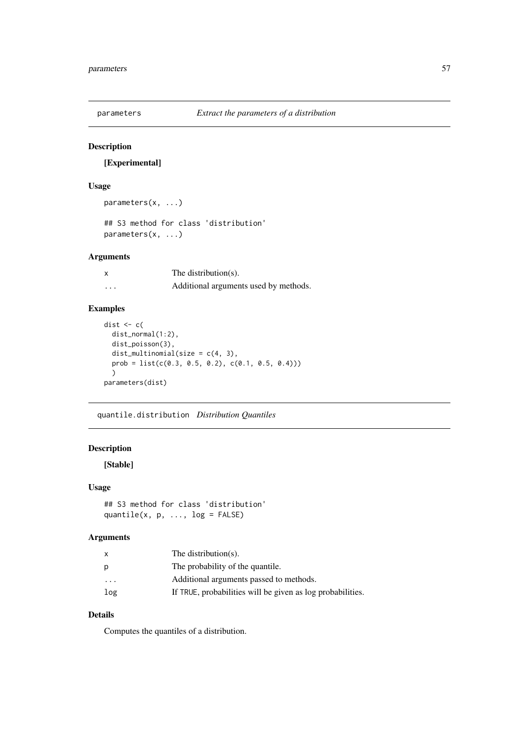<span id="page-56-0"></span>

[Experimental]

## Usage

```
parameters(x, ...)
```
## S3 method for class 'distribution' parameters(x, ...)

## Arguments

| X        | The distribution(s).                  |
|----------|---------------------------------------|
| $\cdots$ | Additional arguments used by methods. |

## Examples

```
dist \leftarrow c(
 dist_normal(1:2),
  dist_poisson(3),
  dist_multinomial(size = c(4, 3),
  prob = list(c(0.3, 0.5, 0.2), c(0.1, 0.5, 0.4))))
parameters(dist)
```
quantile.distribution *Distribution Quantiles*

## Description

[Stable]

## Usage

```
## S3 method for class 'distribution'
quantile(x, p, \ldots, \log = FALSE)
```
#### Arguments

| x         | The distribution( $s$ ).                                   |
|-----------|------------------------------------------------------------|
| р         | The probability of the quantile.                           |
| $\ddotsc$ | Additional arguments passed to methods.                    |
| log       | If TRUE, probabilities will be given as log probabilities. |
|           |                                                            |

## Details

Computes the quantiles of a distribution.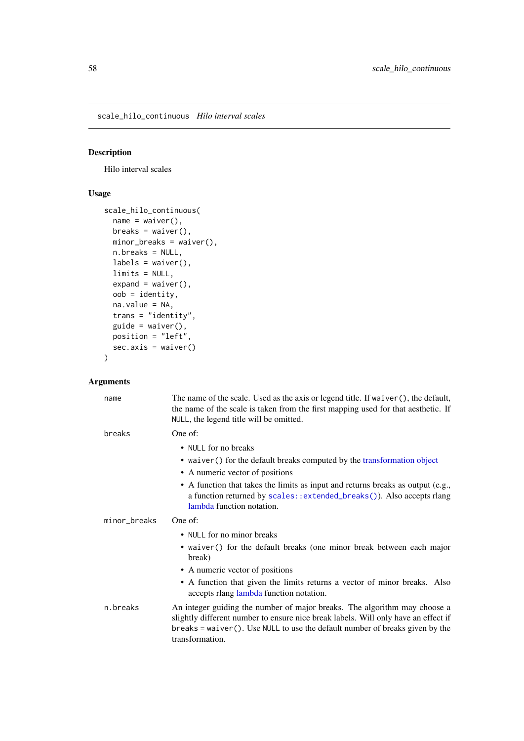<span id="page-57-0"></span>scale\_hilo\_continuous *Hilo interval scales*

## Description

Hilo interval scales

## Usage

```
scale_hilo_continuous(
  name = waire(),breaks = waiver(),
  minor_breaks = waiver(),
  n.breaks = NULL,
  labels = waitver(),
  limits = NULL,
  expand = waire(),
  oob = identity,
  na.value = NA,
 trans = "identity",
  guide = waire(),
  position = "left",
  sec.axis = waiver()
)
```
## Arguments

| name         | The name of the scale. Used as the axis or legend title. If waiver (), the default,<br>the name of the scale is taken from the first mapping used for that aesthetic. If<br>NULL, the legend title will be omitted.                                                   |
|--------------|-----------------------------------------------------------------------------------------------------------------------------------------------------------------------------------------------------------------------------------------------------------------------|
| breaks       | One of:                                                                                                                                                                                                                                                               |
|              | • NULL for no breaks                                                                                                                                                                                                                                                  |
|              | • waiver () for the default breaks computed by the transformation object                                                                                                                                                                                              |
|              | • A numeric vector of positions                                                                                                                                                                                                                                       |
|              | • A function that takes the limits as input and returns breaks as output (e.g.,<br>a function returned by scales::extended_breaks()). Also accepts rlang<br>lambda function notation.                                                                                 |
| minor_breaks | One of:                                                                                                                                                                                                                                                               |
|              | • NULL for no minor breaks                                                                                                                                                                                                                                            |
|              | • waiver () for the default breaks (one minor break between each major<br>break)                                                                                                                                                                                      |
|              | • A numeric vector of positions                                                                                                                                                                                                                                       |
|              | • A function that given the limits returns a vector of minor breaks. Also<br>accepts rlang lambda function notation.                                                                                                                                                  |
| n.breaks     | An integer guiding the number of major breaks. The algorithm may choose a<br>slightly different number to ensure nice break labels. Will only have an effect if<br>$breaks = waiver()$ . Use NULL to use the default number of breaks given by the<br>transformation. |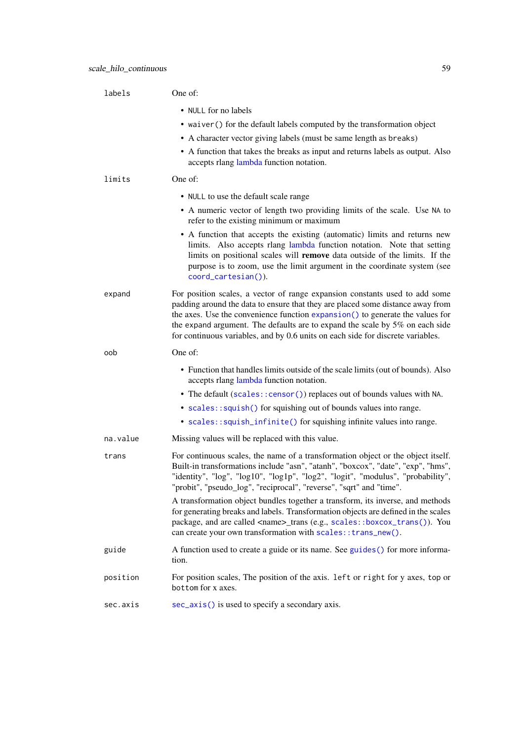<span id="page-58-0"></span>

| labels   | One of:                                                                                                                                                                                                                                                                                                                                                                                                           |
|----------|-------------------------------------------------------------------------------------------------------------------------------------------------------------------------------------------------------------------------------------------------------------------------------------------------------------------------------------------------------------------------------------------------------------------|
|          | • NULL for no labels                                                                                                                                                                                                                                                                                                                                                                                              |
|          | • waiver () for the default labels computed by the transformation object                                                                                                                                                                                                                                                                                                                                          |
|          | • A character vector giving labels (must be same length as breaks)                                                                                                                                                                                                                                                                                                                                                |
|          | • A function that takes the breaks as input and returns labels as output. Also<br>accepts rlang lambda function notation.                                                                                                                                                                                                                                                                                         |
| limits   | One of:                                                                                                                                                                                                                                                                                                                                                                                                           |
|          | • NULL to use the default scale range                                                                                                                                                                                                                                                                                                                                                                             |
|          | • A numeric vector of length two providing limits of the scale. Use NA to<br>refer to the existing minimum or maximum                                                                                                                                                                                                                                                                                             |
|          | • A function that accepts the existing (automatic) limits and returns new<br>limits. Also accepts rlang lambda function notation. Note that setting<br>limits on positional scales will remove data outside of the limits. If the<br>purpose is to zoom, use the limit argument in the coordinate system (see<br>coord_cartesian()).                                                                              |
| expand   | For position scales, a vector of range expansion constants used to add some<br>padding around the data to ensure that they are placed some distance away from<br>the axes. Use the convenience function expansion() to generate the values for<br>the expand argument. The defaults are to expand the scale by 5% on each side<br>for continuous variables, and by 0.6 units on each side for discrete variables. |
| oob      | One of:                                                                                                                                                                                                                                                                                                                                                                                                           |
|          | • Function that handles limits outside of the scale limits (out of bounds). Also<br>accepts rlang lambda function notation.                                                                                                                                                                                                                                                                                       |
|          | • The default (scales:: censor()) replaces out of bounds values with NA.                                                                                                                                                                                                                                                                                                                                          |
|          | • scales::squish() for squishing out of bounds values into range.                                                                                                                                                                                                                                                                                                                                                 |
|          | • scales::squish_infinite() for squishing infinite values into range.                                                                                                                                                                                                                                                                                                                                             |
| na.value | Missing values will be replaced with this value.                                                                                                                                                                                                                                                                                                                                                                  |
| trans    | For continuous scales, the name of a transformation object or the object itself.<br>Built-in transformations include "asn", "atanh", "boxcox", "date", "exp", "hms",<br>"identity", "log", "log10", "log1p", "log2", "logit", "modulus", "probability",<br>'probit", "pseudo_log", "reciprocal", "reverse", "sqrt" and "time".                                                                                    |
|          | A transformation object bundles together a transform, its inverse, and methods<br>for generating breaks and labels. Transformation objects are defined in the scales<br>package, and are called <name>_trans (e.g., scales::boxcox_trans()). You<br/>can create your own transformation with scales:: trans_new().</name>                                                                                         |
| guide    | A function used to create a guide or its name. See guides () for more informa-<br>tion.                                                                                                                                                                                                                                                                                                                           |
| position | For position scales, The position of the axis. left or right for y axes, top or<br>bottom for x axes.                                                                                                                                                                                                                                                                                                             |
| sec.axis | sec_axis() is used to specify a secondary axis.                                                                                                                                                                                                                                                                                                                                                                   |
|          |                                                                                                                                                                                                                                                                                                                                                                                                                   |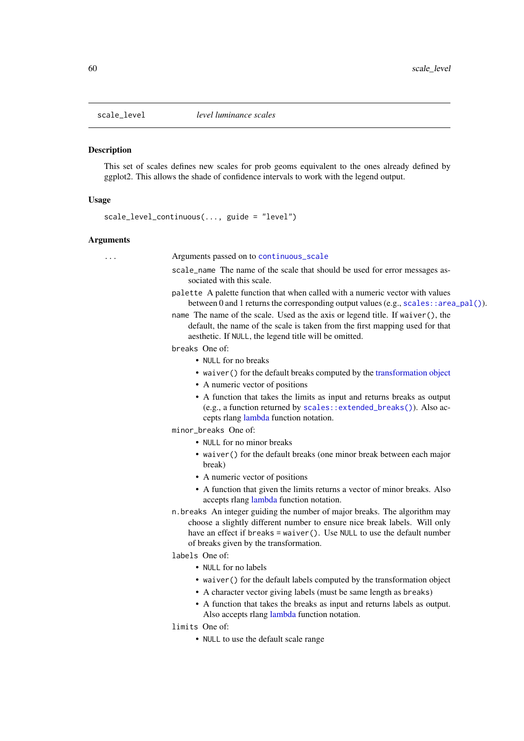<span id="page-59-0"></span>

This set of scales defines new scales for prob geoms equivalent to the ones already defined by ggplot2. This allows the shade of confidence intervals to work with the legend output.

#### Usage

scale\_level\_continuous(..., guide = "level")

#### Arguments

... Arguments passed on to [continuous\\_scale](#page-0-0) scale\_name The name of the scale that should be used for error messages associated with this scale. palette A palette function that when called with a numeric vector with values between 0 and 1 returns the corresponding output values (e.g., [scales::area\\_pal\(\)](#page-0-0)). name The name of the scale. Used as the axis or legend title. If waiver(), the default, the name of the scale is taken from the first mapping used for that aesthetic. If NULL, the legend title will be omitted. breaks One of: • NULL for no breaks • waiver() for the default breaks computed by the [transformation object](#page-0-0) • A numeric vector of positions • A function that takes the limits as input and returns breaks as output (e.g., a function returned by [scales::extended\\_breaks\(\)](#page-0-0)). Also accepts rlang [lambda](#page-0-0) function notation. minor breaks One of: • NULL for no minor breaks • waiver() for the default breaks (one minor break between each major break) • A numeric vector of positions • A function that given the limits returns a vector of minor breaks. Also accepts rlang [lambda](#page-0-0) function notation. n.breaks An integer guiding the number of major breaks. The algorithm may choose a slightly different number to ensure nice break labels. Will only have an effect if breaks = waiver(). Use NULL to use the default number of breaks given by the transformation. labels One of: • NULL for no labels • waiver() for the default labels computed by the transformation object • A character vector giving labels (must be same length as breaks) • A function that takes the breaks as input and returns labels as output. Also accepts rlang [lambda](#page-0-0) function notation. limits One of: • NULL to use the default scale range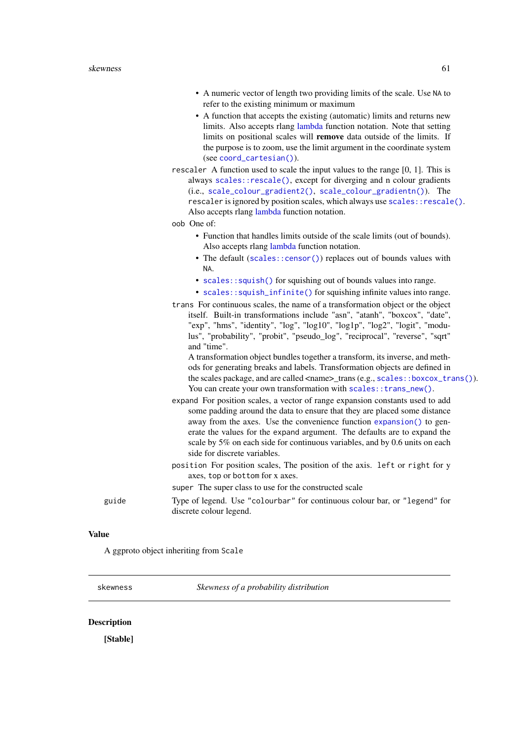- <span id="page-60-0"></span>• A numeric vector of length two providing limits of the scale. Use NA to refer to the existing minimum or maximum
- A function that accepts the existing (automatic) limits and returns new limits. Also accepts rlang [lambda](#page-0-0) function notation. Note that setting limits on positional scales will remove data outside of the limits. If the purpose is to zoom, use the limit argument in the coordinate system (see [coord\\_cartesian\(\)](#page-0-0)).
- rescaler A function used to scale the input values to the range [0, 1]. This is always [scales::rescale\(\)](#page-0-0), except for diverging and n colour gradients (i.e., [scale\\_colour\\_gradient2\(\)](#page-0-0), [scale\\_colour\\_gradientn\(\)](#page-0-0)). The rescaler is ignored by position scales, which always use scales:: rescale(). Also accepts rlang [lambda](#page-0-0) function notation.
- oob One of:
	- Function that handles limits outside of the scale limits (out of bounds). Also accepts rlang [lambda](#page-0-0) function notation.
	- The default ([scales::censor\(\)](#page-0-0)) replaces out of bounds values with NA.
	- [scales::squish\(\)](#page-0-0) for squishing out of bounds values into range.
	- [scales::squish\\_infinite\(\)](#page-0-0) for squishing infinite values into range.
- trans For continuous scales, the name of a transformation object or the object itself. Built-in transformations include "asn", "atanh", "boxcox", "date", "exp", "hms", "identity", "log", "log10", "log1p", "log2", "logit", "modulus", "probability", "probit", "pseudo\_log", "reciprocal", "reverse", "sqrt" and "time".

A transformation object bundles together a transform, its inverse, and methods for generating breaks and labels. Transformation objects are defined in the scales package, and are called  $\langle$ name $\rangle$ trans (e.g., [scales::boxcox\\_trans\(\)](#page-0-0)). You can create your own transformation with scales:: trans\_new().

- expand For position scales, a vector of range expansion constants used to add some padding around the data to ensure that they are placed some distance away from the axes. Use the convenience function [expansion\(\)](#page-0-0) to generate the values for the expand argument. The defaults are to expand the scale by 5% on each side for continuous variables, and by 0.6 units on each side for discrete variables.
- position For position scales, The position of the axis. left or right for y axes, top or bottom for x axes.

super The super class to use for the constructed scale

guide Type of legend. Use "colourbar" for continuous colour bar, or "legend" for discrete colour legend.

#### Value

A ggproto object inheriting from Scale

skewness *Skewness of a probability distribution*

## **Description**

[Stable]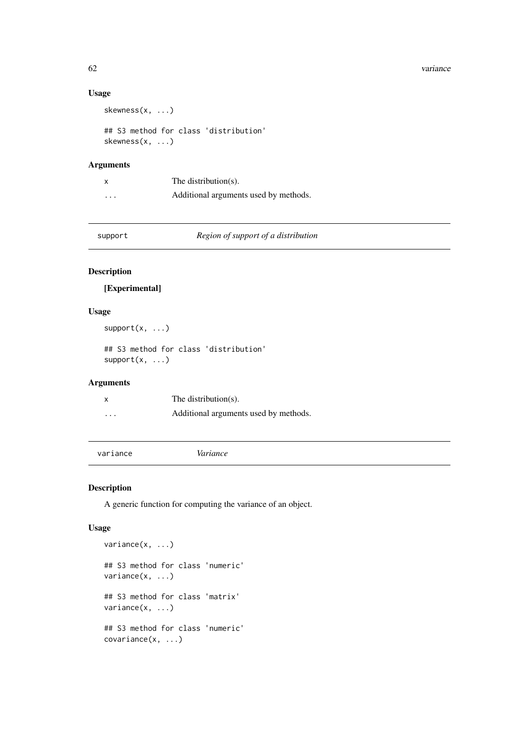#### <span id="page-61-0"></span>62 variance

## Usage

skewness(x, ...)

```
## S3 method for class 'distribution'
skewness(x, ...)
```
## Arguments

|          | The distribution $(s)$ .              |
|----------|---------------------------------------|
| $\cdots$ | Additional arguments used by methods. |

support *Region of support of a distribution*

## Description

[Experimental]

#### Usage

```
support(x, \ldots)
```
## S3 method for class 'distribution'  $support(x, \ldots)$ 

#### Arguments

| $\boldsymbol{\mathsf{x}}$ | The distribution(s).                  |
|---------------------------|---------------------------------------|
| $\cdots$                  | Additional arguments used by methods. |

<span id="page-61-1"></span>

## Description

A generic function for computing the variance of an object.

## Usage

```
variance(x, ...)
## S3 method for class 'numeric'
variance(x, ...)
## S3 method for class 'matrix'
variance(x, ...)
## S3 method for class 'numeric'
covariance(x, ...)
```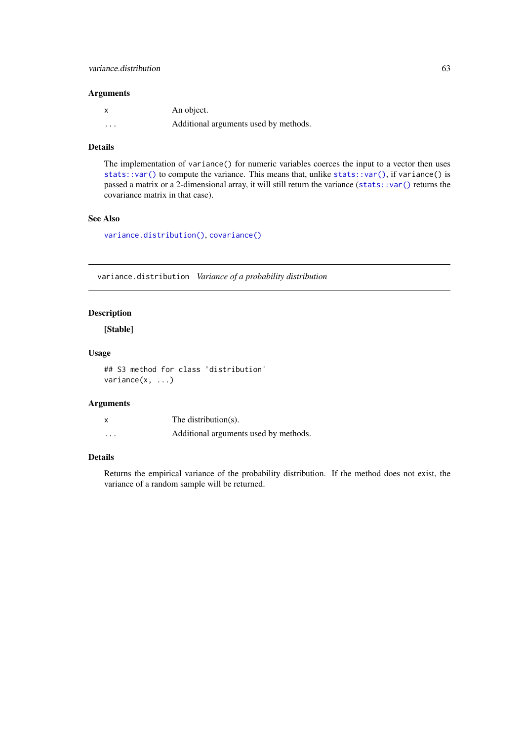## <span id="page-62-0"></span>Arguments

|          | An object.                            |
|----------|---------------------------------------|
| $\cdots$ | Additional arguments used by methods. |

## Details

The implementation of variance() for numeric variables coerces the input to a vector then uses [stats::var\(\)](#page-0-0) to compute the variance. This means that, unlike stats::var(), if variance() is passed a matrix or a 2-dimensional array, it will still return the variance ([stats::var\(\)](#page-0-0) returns the covariance matrix in that case).

## See Also

[variance.distribution\(\)](#page-62-1), [covariance\(\)](#page-3-2)

<span id="page-62-1"></span>variance.distribution *Variance of a probability distribution*

## Description

[Stable]

#### Usage

## S3 method for class 'distribution' variance(x, ...)

#### Arguments

|          | The distribution(s).                  |
|----------|---------------------------------------|
| $\cdots$ | Additional arguments used by methods. |

#### Details

Returns the empirical variance of the probability distribution. If the method does not exist, the variance of a random sample will be returned.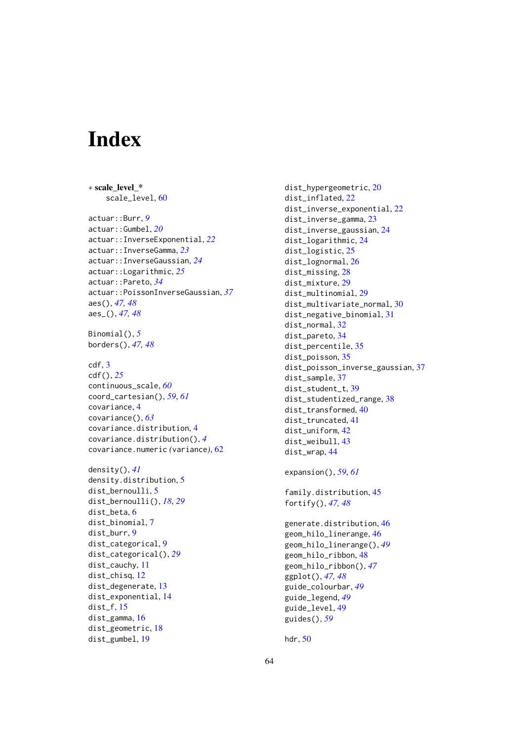# <span id="page-63-0"></span>Index

∗ scale\_level\_\* scale\_level, [60](#page-59-0) actuar::Burr, *[9](#page-8-0)* actuar::Gumbel, *[20](#page-19-0)* actuar::InverseExponential, *[22](#page-21-0)* actuar::InverseGamma, *[23](#page-22-0)* actuar::InverseGaussian, *[24](#page-23-0)* actuar::Logarithmic, *[25](#page-24-0)* actuar::Pareto, *[34](#page-33-0)* actuar::PoissonInverseGaussian, *[37](#page-36-0)* aes(), *[47,](#page-46-0) [48](#page-47-0)* aes\_(), *[47,](#page-46-0) [48](#page-47-0)* Binomial(), *[5](#page-4-0)* borders(), *[47,](#page-46-0) [48](#page-47-0)* cdf, [3](#page-2-0) cdf(), *[25](#page-24-0)* continuous\_scale, *[60](#page-59-0)* coord\_cartesian(), *[59](#page-58-0)*, *[61](#page-60-0)* covariance, [4](#page-3-0) covariance(), *[63](#page-62-0)* covariance.distribution, [4](#page-3-0) covariance.distribution(), *[4](#page-3-0)* covariance.numeric *(*variance*)*, [62](#page-61-0) density(), *[41](#page-40-0)* density.distribution, [5](#page-4-0) dist\_bernoulli, [5](#page-4-0) dist\_bernoulli(), *[18](#page-17-0)*, *[29](#page-28-0)* dist\_beta, [6](#page-5-0) dist\_binomial, [7](#page-6-0) dist\_burr, [9](#page-8-0) dist\_categorical, [9](#page-8-0) dist\_categorical(), *[29](#page-28-0)* dist cauchy, [11](#page-10-0) dist chisq, [12](#page-11-0) dist\_degenerate, [13](#page-12-0)

dist\_exponential, [14](#page-13-0)

dist\_f, [15](#page-14-0) dist\_gamma, [16](#page-15-0) dist\_geometric, [18](#page-17-0) dist\_gumbel, [19](#page-18-0)

dist\_hypergeometric, [20](#page-19-0) dist\_inflated, [22](#page-21-0) dist\_inverse\_exponential, [22](#page-21-0) dist\_inverse\_gamma, [23](#page-22-0) dist\_inverse\_gaussian, [24](#page-23-0) dist\_logarithmic, [24](#page-23-0) dist\_logistic, [25](#page-24-0) dist\_lognormal, [26](#page-25-0) dist\_missing, [28](#page-27-0) dist\_mixture, [29](#page-28-0) dist\_multinomial, [29](#page-28-0) dist\_multivariate\_normal, [30](#page-29-0) dist\_negative\_binomial, [31](#page-30-0) dist\_normal, [32](#page-31-0) dist\_pareto, [34](#page-33-0) dist\_percentile, [35](#page-34-0) dist\_poisson, [35](#page-34-0) dist\_poisson\_inverse\_gaussian, [37](#page-36-0) dist\_sample, [37](#page-36-0) dist\_student\_t, [39](#page-38-0) dist\_studentized\_range, [38](#page-37-0) dist\_transformed, [40](#page-39-0) dist\_truncated, [41](#page-40-0) dist uniform, [42](#page-41-0) dist\_weibull, [43](#page-42-0) dist\_wrap, [44](#page-43-0) expansion(), *[59](#page-58-0)*, *[61](#page-60-0)* family.distribution, [45](#page-44-0) fortify(), *[47,](#page-46-0) [48](#page-47-0)* generate.distribution, [46](#page-45-0) geom\_hilo\_linerange, [46](#page-45-0) geom\_hilo\_linerange(), *[49](#page-48-0)* geom\_hilo\_ribbon, [48](#page-47-0) geom\_hilo\_ribbon(), *[47](#page-46-0)* ggplot(), *[47,](#page-46-0) [48](#page-47-0)* guide\_colourbar, *[49](#page-48-0)* guide\_legend, *[49](#page-48-0)* guide\_level, [49](#page-48-0)

hdr, [50](#page-49-0)

guides(), *[59](#page-58-0)*